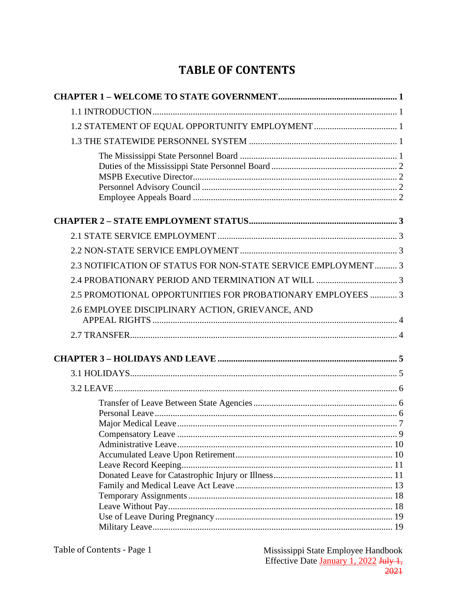# **TABLE OF CONTENTS**

| 1.2 STATEMENT OF EQUAL OPPORTUNITY EMPLOYMENT  1              |  |
|---------------------------------------------------------------|--|
|                                                               |  |
|                                                               |  |
|                                                               |  |
|                                                               |  |
|                                                               |  |
| 2.3 NOTIFICATION OF STATUS FOR NON-STATE SERVICE EMPLOYMENT 3 |  |
|                                                               |  |
| 2.5 PROMOTIONAL OPPORTUNITIES FOR PROBATIONARY EMPLOYEES  3   |  |
| 2.6 EMPLOYEE DISCIPLINARY ACTION, GRIEVANCE, AND              |  |
|                                                               |  |
|                                                               |  |
|                                                               |  |
|                                                               |  |
|                                                               |  |
|                                                               |  |
|                                                               |  |
|                                                               |  |
|                                                               |  |
|                                                               |  |
|                                                               |  |
|                                                               |  |
|                                                               |  |
|                                                               |  |
|                                                               |  |
|                                                               |  |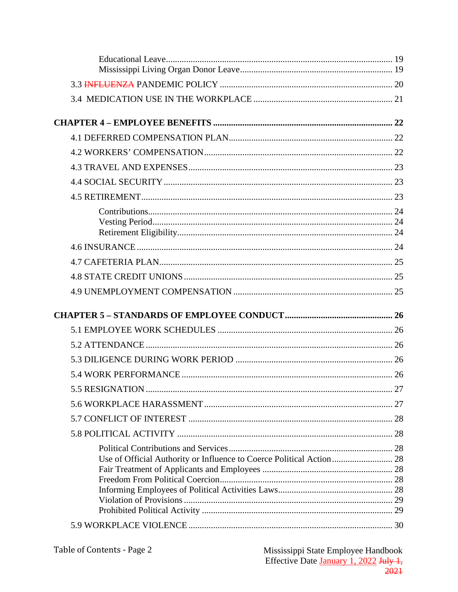| Use of Official Authority or Influence to Coerce Political Action 28 |  |
|----------------------------------------------------------------------|--|
|                                                                      |  |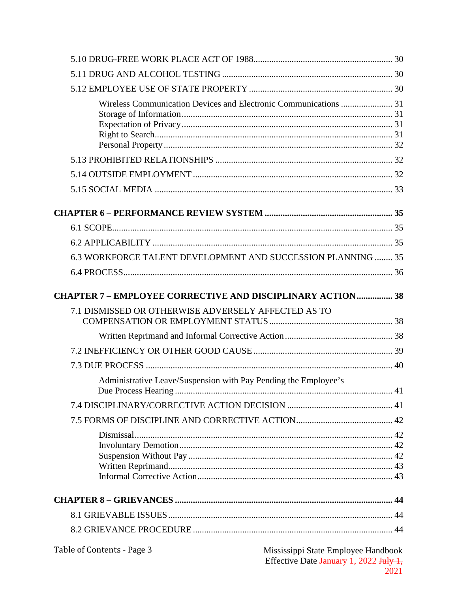| 6.3 WORKFORCE TALENT DEVELOPMENT AND SUCCESSION PLANNING  35                                                |  |
|-------------------------------------------------------------------------------------------------------------|--|
|                                                                                                             |  |
| <b>CHAPTER 7 - EMPLOYEE CORRECTIVE AND DISCIPLINARY ACTION 38</b>                                           |  |
| 7.1 DISMISSED OR OTHERWISE ADVERSELY AFFECTED AS TO                                                         |  |
|                                                                                                             |  |
|                                                                                                             |  |
|                                                                                                             |  |
| Administrative Leave/Suspension with Pay Pending the Employee's                                             |  |
|                                                                                                             |  |
|                                                                                                             |  |
|                                                                                                             |  |
|                                                                                                             |  |
|                                                                                                             |  |
|                                                                                                             |  |
|                                                                                                             |  |
|                                                                                                             |  |
|                                                                                                             |  |
| Table of Contents - Page 3<br>Mississippi State Employee Handbook<br>Effective Date January 1, 2022 July 1, |  |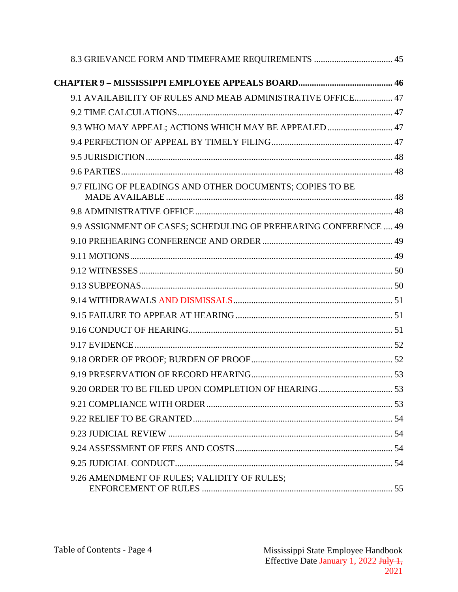| 8.3 GRIEVANCE FORM AND TIMEFRAME REQUIREMENTS  45                |  |
|------------------------------------------------------------------|--|
|                                                                  |  |
| 9.1 AVAILABILITY OF RULES AND MEAB ADMINISTRATIVE OFFICE 47      |  |
|                                                                  |  |
| 9.3 WHO MAY APPEAL; ACTIONS WHICH MAY BE APPEALED  47            |  |
|                                                                  |  |
|                                                                  |  |
|                                                                  |  |
| 9.7 FILING OF PLEADINGS AND OTHER DOCUMENTS; COPIES TO BE        |  |
|                                                                  |  |
| 9.9 ASSIGNMENT OF CASES; SCHEDULING OF PREHEARING CONFERENCE  49 |  |
|                                                                  |  |
|                                                                  |  |
|                                                                  |  |
|                                                                  |  |
|                                                                  |  |
|                                                                  |  |
|                                                                  |  |
|                                                                  |  |
|                                                                  |  |
|                                                                  |  |
|                                                                  |  |
|                                                                  |  |
|                                                                  |  |
|                                                                  |  |
|                                                                  |  |
|                                                                  |  |
| 9.26 AMENDMENT OF RULES; VALIDITY OF RULES;                      |  |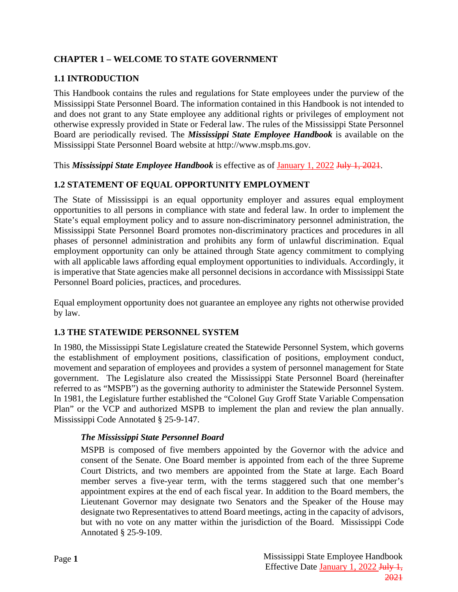# <span id="page-4-0"></span>**CHAPTER 1 – WELCOME TO STATE GOVERNMENT**

# <span id="page-4-1"></span>**1.1 INTRODUCTION**

This Handbook contains the rules and regulations for State employees under the purview of the Mississippi State Personnel Board. The information contained in this Handbook is not intended to and does not grant to any State employee any additional rights or privileges of employment not otherwise expressly provided in State or Federal law. The rules of the Mississippi State Personnel Board are periodically revised. The *Mississippi State Employee Handbook* is available on the Mississippi State Personnel Board website at http://www.mspb.ms.gov.

This *Mississippi State Employee Handbook* is effective as of January 1, 2022 July 1, 2021.

### <span id="page-4-2"></span>**1.2 STATEMENT OF EQUAL OPPORTUNITY EMPLOYMENT**

The State of Mississippi is an equal opportunity employer and assures equal employment opportunities to all persons in compliance with state and federal law. In order to implement the State's equal employment policy and to assure non-discriminatory personnel administration, the Mississippi State Personnel Board promotes non-discriminatory practices and procedures in all phases of personnel administration and prohibits any form of unlawful discrimination. Equal employment opportunity can only be attained through State agency commitment to complying with all applicable laws affording equal employment opportunities to individuals. Accordingly, it is imperative that State agencies make all personnel decisions in accordance with Mississippi State Personnel Board policies, practices, and procedures.

Equal employment opportunity does not guarantee an employee any rights not otherwise provided by law.

#### <span id="page-4-3"></span>**1.3 THE STATEWIDE PERSONNEL SYSTEM**

In 1980, the Mississippi State Legislature created the Statewide Personnel System, which governs the establishment of employment positions, classification of positions, employment conduct, movement and separation of employees and provides a system of personnel management for State government. The Legislature also created the Mississippi State Personnel Board (hereinafter referred to as "MSPB") as the governing authority to administer the Statewide Personnel System. In 1981, the Legislature further established the "Colonel Guy Groff State Variable Compensation Plan" or the VCP and authorized MSPB to implement the plan and review the plan annually. Mississippi Code Annotated § 25-9-147.

#### <span id="page-4-4"></span>*The Mississippi State Personnel Board*

MSPB is composed of five members appointed by the Governor with the advice and consent of the Senate. One Board member is appointed from each of the three Supreme Court Districts, and two members are appointed from the State at large. Each Board member serves a five-year term, with the terms staggered such that one member's appointment expires at the end of each fiscal year. In addition to the Board members, the Lieutenant Governor may designate two Senators and the Speaker of the House may designate two Representatives to attend Board meetings, acting in the capacity of advisors, but with no vote on any matter within the jurisdiction of the Board. Mississippi Code Annotated § 25-9-109.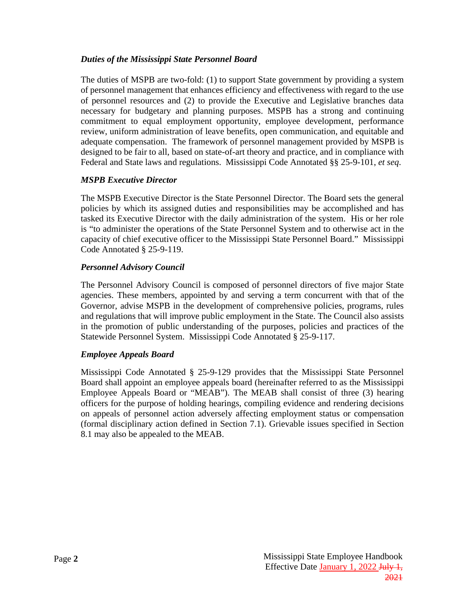#### <span id="page-5-0"></span>*Duties of the Mississippi State Personnel Board*

The duties of MSPB are two-fold: (1) to support State government by providing a system of personnel management that enhances efficiency and effectiveness with regard to the use of personnel resources and (2) to provide the Executive and Legislative branches data necessary for budgetary and planning purposes. MSPB has a strong and continuing commitment to equal employment opportunity, employee development, performance review, uniform administration of leave benefits, open communication, and equitable and adequate compensation. The framework of personnel management provided by MSPB is designed to be fair to all, based on state-of-art theory and practice, and in compliance with Federal and State laws and regulations. Mississippi Code Annotated §§ 25-9-101, *et seq*.

### <span id="page-5-1"></span>*MSPB Executive Director*

The MSPB Executive Director is the State Personnel Director. The Board sets the general policies by which its assigned duties and responsibilities may be accomplished and has tasked its Executive Director with the daily administration of the system. His or her role is "to administer the operations of the State Personnel System and to otherwise act in the capacity of chief executive officer to the Mississippi State Personnel Board." Mississippi Code Annotated § 25-9-119.

### <span id="page-5-2"></span>*Personnel Advisory Council*

The Personnel Advisory Council is composed of personnel directors of five major State agencies. These members, appointed by and serving a term concurrent with that of the Governor, advise MSPB in the development of comprehensive policies, programs, rules and regulations that will improve public employment in the State. The Council also assists in the promotion of public understanding of the purposes, policies and practices of the Statewide Personnel System. Mississippi Code Annotated § 25-9-117.

### <span id="page-5-3"></span>*Employee Appeals Board*

Mississippi Code Annotated § 25-9-129 provides that the Mississippi State Personnel Board shall appoint an employee appeals board (hereinafter referred to as the Mississippi Employee Appeals Board or "MEAB"). The MEAB shall consist of three (3) hearing officers for the purpose of holding hearings, compiling evidence and rendering decisions on appeals of personnel action adversely affecting employment status or compensation (formal disciplinary action defined in Section 7.1). Grievable issues specified in Section 8.1 may also be appealed to the MEAB.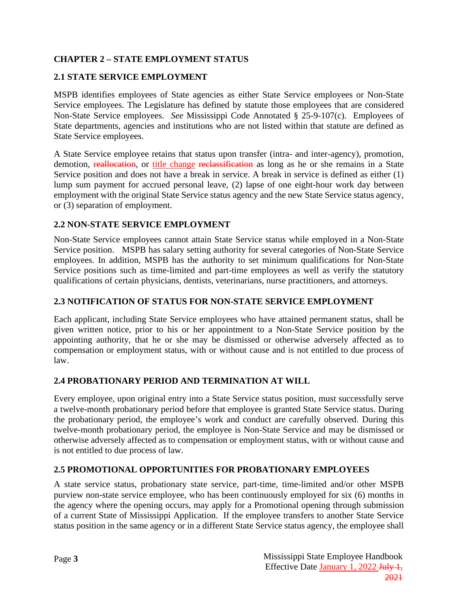# <span id="page-6-0"></span>**CHAPTER 2 – STATE EMPLOYMENT STATUS**

### <span id="page-6-1"></span>**2.1 STATE SERVICE EMPLOYMENT**

MSPB identifies employees of State agencies as either State Service employees or Non-State Service employees. The Legislature has defined by statute those employees that are considered Non-State Service employees. *See* Mississippi Code Annotated § 25-9-107(c). Employees of State departments, agencies and institutions who are not listed within that statute are defined as State Service employees.

A State Service employee retains that status upon transfer (intra- and inter-agency), promotion, demotion, reallocation, or title change reclassification as long as he or she remains in a State Service position and does not have a break in service. A break in service is defined as either (1) lump sum payment for accrued personal leave, (2) lapse of one eight-hour work day between employment with the original State Service status agency and the new State Service status agency, or (3) separation of employment.

#### <span id="page-6-2"></span>**2.2 NON-STATE SERVICE EMPLOYMENT**

Non-State Service employees cannot attain State Service status while employed in a Non-State Service position. MSPB has salary setting authority for several categories of Non-State Service employees. In addition, MSPB has the authority to set minimum qualifications for Non-State Service positions such as time-limited and part-time employees as well as verify the statutory qualifications of certain physicians, dentists, veterinarians, nurse practitioners, and attorneys.

### <span id="page-6-3"></span>**2.3 NOTIFICATION OF STATUS FOR NON-STATE SERVICE EMPLOYMENT**

Each applicant, including State Service employees who have attained permanent status, shall be given written notice, prior to his or her appointment to a Non-State Service position by the appointing authority, that he or she may be dismissed or otherwise adversely affected as to compensation or employment status, with or without cause and is not entitled to due process of law.

### <span id="page-6-4"></span>**2.4 PROBATIONARY PERIOD AND TERMINATION AT WILL**

Every employee, upon original entry into a State Service status position, must successfully serve a twelve-month probationary period before that employee is granted State Service status. During the probationary period, the employee's work and conduct are carefully observed. During this twelve-month probationary period, the employee is Non-State Service and may be dismissed or otherwise adversely affected as to compensation or employment status, with or without cause and is not entitled to due process of law.

#### <span id="page-6-5"></span>**2.5 PROMOTIONAL OPPORTUNITIES FOR PROBATIONARY EMPLOYEES**

A state service status, probationary state service, part-time, time-limited and/or other MSPB purview non-state service employee, who has been continuously employed for six (6) months in the agency where the opening occurs, may apply for a Promotional opening through submission of a current State of Mississippi Application. If the employee transfers to another State Service status position in the same agency or in a different State Service status agency, the employee shall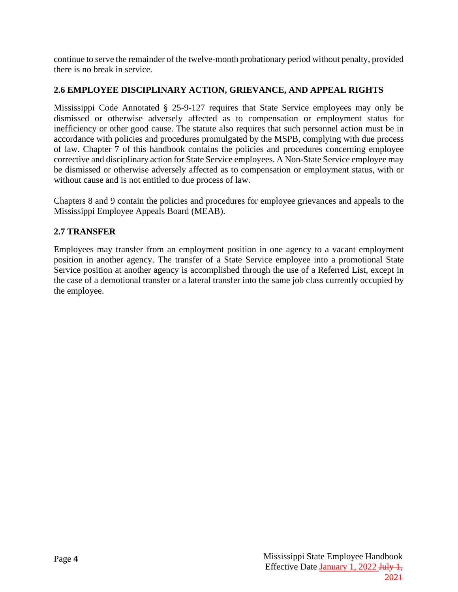continue to serve the remainder of the twelve-month probationary period without penalty, provided there is no break in service.

### <span id="page-7-0"></span>**2.6 EMPLOYEE DISCIPLINARY ACTION, GRIEVANCE, AND APPEAL RIGHTS**

Mississippi Code Annotated § 25-9-127 requires that State Service employees may only be dismissed or otherwise adversely affected as to compensation or employment status for inefficiency or other good cause. The statute also requires that such personnel action must be in accordance with policies and procedures promulgated by the MSPB, complying with due process of law. Chapter 7 of this handbook contains the policies and procedures concerning employee corrective and disciplinary action for State Service employees. A Non-State Service employee may be dismissed or otherwise adversely affected as to compensation or employment status, with or without cause and is not entitled to due process of law.

Chapters 8 and 9 contain the policies and procedures for employee grievances and appeals to the Mississippi Employee Appeals Board (MEAB).

### <span id="page-7-1"></span>**2.7 TRANSFER**

Employees may transfer from an employment position in one agency to a vacant employment position in another agency. The transfer of a State Service employee into a promotional State Service position at another agency is accomplished through the use of a Referred List, except in the case of a demotional transfer or a lateral transfer into the same job class currently occupied by the employee.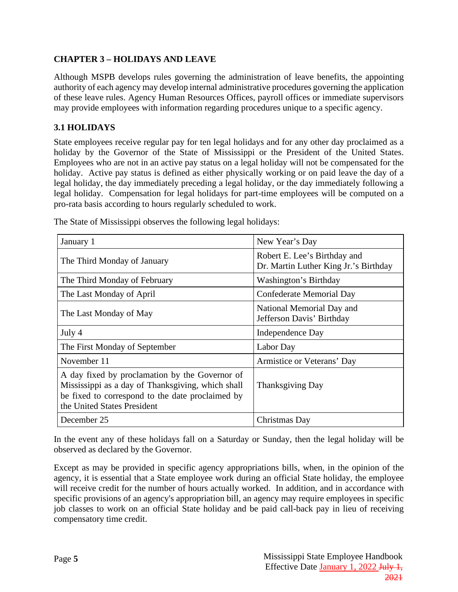### <span id="page-8-0"></span>**CHAPTER 3 – HOLIDAYS AND LEAVE**

Although MSPB develops rules governing the administration of leave benefits, the appointing authority of each agency may develop internal administrative procedures governing the application of these leave rules. Agency Human Resources Offices, payroll offices or immediate supervisors may provide employees with information regarding procedures unique to a specific agency.

### <span id="page-8-1"></span>**3.1 HOLIDAYS**

State employees receive regular pay for ten legal holidays and for any other day proclaimed as a holiday by the Governor of the State of Mississippi or the President of the United States. Employees who are not in an active pay status on a legal holiday will not be compensated for the holiday. Active pay status is defined as either physically working or on paid leave the day of a legal holiday, the day immediately preceding a legal holiday, or the day immediately following a legal holiday. Compensation for legal holidays for part-time employees will be computed on a pro-rata basis according to hours regularly scheduled to work.

| January 1                                                                                                                                                                              | New Year's Day                                                        |
|----------------------------------------------------------------------------------------------------------------------------------------------------------------------------------------|-----------------------------------------------------------------------|
| The Third Monday of January                                                                                                                                                            | Robert E. Lee's Birthday and<br>Dr. Martin Luther King Jr.'s Birthday |
| The Third Monday of February                                                                                                                                                           | Washington's Birthday                                                 |
| The Last Monday of April                                                                                                                                                               | Confederate Memorial Day                                              |
| The Last Monday of May                                                                                                                                                                 | National Memorial Day and<br>Jefferson Davis' Birthday                |
| July 4                                                                                                                                                                                 | Independence Day                                                      |
| The First Monday of September                                                                                                                                                          | Labor Day                                                             |
| November 11                                                                                                                                                                            | Armistice or Veterans' Day                                            |
| A day fixed by proclamation by the Governor of<br>Mississippi as a day of Thanksgiving, which shall<br>be fixed to correspond to the date proclaimed by<br>the United States President | <b>Thanksgiving Day</b>                                               |
| December 25                                                                                                                                                                            | Christmas Day                                                         |

The State of Mississippi observes the following legal holidays:

In the event any of these holidays fall on a Saturday or Sunday, then the legal holiday will be observed as declared by the Governor.

Except as may be provided in specific agency appropriations bills, when, in the opinion of the agency, it is essential that a State employee work during an official State holiday, the employee will receive credit for the number of hours actually worked. In addition, and in accordance with specific provisions of an agency's appropriation bill, an agency may require employees in specific job classes to work on an official State holiday and be paid call-back pay in lieu of receiving compensatory time credit.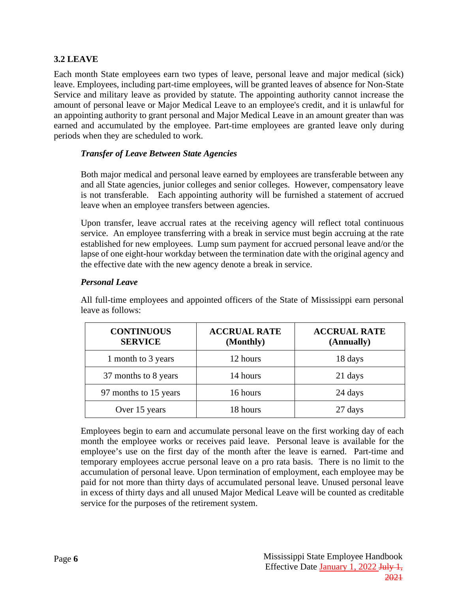### <span id="page-9-0"></span>**3.2 LEAVE**

Each month State employees earn two types of leave, personal leave and major medical (sick) leave. Employees, including part-time employees, will be granted leaves of absence for Non-State Service and military leave as provided by statute. The appointing authority cannot increase the amount of personal leave or Major Medical Leave to an employee's credit, and it is unlawful for an appointing authority to grant personal and Major Medical Leave in an amount greater than was earned and accumulated by the employee. Part-time employees are granted leave only during periods when they are scheduled to work.

#### <span id="page-9-1"></span>*Transfer of Leave Between State Agencies*

Both major medical and personal leave earned by employees are transferable between any and all State agencies, junior colleges and senior colleges. However, compensatory leave is not transferable. Each appointing authority will be furnished a statement of accrued leave when an employee transfers between agencies.

Upon transfer, leave accrual rates at the receiving agency will reflect total continuous service. An employee transferring with a break in service must begin accruing at the rate established for new employees. Lump sum payment for accrued personal leave and/or the lapse of one eight-hour workday between the termination date with the original agency and the effective date with the new agency denote a break in service.

#### <span id="page-9-2"></span>*Personal Leave*

All full-time employees and appointed officers of the State of Mississippi earn personal leave as follows:

| <b>CONTINUOUS</b><br><b>SERVICE</b> | <b>ACCRUAL RATE</b><br>(Monthly) | <b>ACCRUAL RATE</b><br>(Annually) |
|-------------------------------------|----------------------------------|-----------------------------------|
| 1 month to 3 years                  | 12 hours                         | 18 days                           |
| 37 months to 8 years                | 14 hours                         | 21 days                           |
| 97 months to 15 years               | 16 hours                         | 24 days                           |
| Over 15 years                       | 18 hours                         | 27 days                           |

Employees begin to earn and accumulate personal leave on the first working day of each month the employee works or receives paid leave. Personal leave is available for the employee's use on the first day of the month after the leave is earned. Part-time and temporary employees accrue personal leave on a pro rata basis. There is no limit to the accumulation of personal leave. Upon termination of employment, each employee may be paid for not more than thirty days of accumulated personal leave. Unused personal leave in excess of thirty days and all unused Major Medical Leave will be counted as creditable service for the purposes of the retirement system.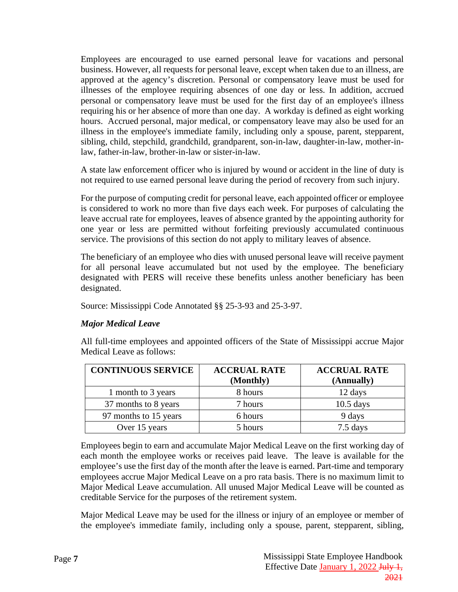Employees are encouraged to use earned personal leave for vacations and personal business. However, all requests for personal leave, except when taken due to an illness, are approved at the agency's discretion. Personal or compensatory leave must be used for illnesses of the employee requiring absences of one day or less. In addition, accrued personal or compensatory leave must be used for the first day of an employee's illness requiring his or her absence of more than one day. A workday is defined as eight working hours. Accrued personal, major medical, or compensatory leave may also be used for an illness in the employee's immediate family, including only a spouse, parent, stepparent, sibling, child, stepchild, grandchild, grandparent, son-in-law, daughter-in-law, mother-inlaw, father-in-law, brother-in-law or sister-in-law.

A state law enforcement officer who is injured by wound or accident in the line of duty is not required to use earned personal leave during the period of recovery from such injury.

For the purpose of computing credit for personal leave, each appointed officer or employee is considered to work no more than five days each week. For purposes of calculating the leave accrual rate for employees, leaves of absence granted by the appointing authority for one year or less are permitted without forfeiting previously accumulated continuous service. The provisions of this section do not apply to military leaves of absence.

The beneficiary of an employee who dies with unused personal leave will receive payment for all personal leave accumulated but not used by the employee. The beneficiary designated with PERS will receive these benefits unless another beneficiary has been designated.

Source: Mississippi Code Annotated §§ 25-3-93 and 25-3-97.

#### <span id="page-10-0"></span>*Major Medical Leave*

All full-time employees and appointed officers of the State of Mississippi accrue Major Medical Leave as follows:

| <b>CONTINUOUS SERVICE</b> | <b>ACCRUAL RATE</b><br>(Monthly) | <b>ACCRUAL RATE</b><br>(Annually) |
|---------------------------|----------------------------------|-----------------------------------|
| 1 month to 3 years        | 8 hours                          | 12 days                           |
| 37 months to 8 years      | 7 hours                          | $10.5$ days                       |
| 97 months to 15 years     | 6 hours                          | 9 days                            |
| Over 15 years             | 5 hours                          | 7.5 days                          |

Employees begin to earn and accumulate Major Medical Leave on the first working day of each month the employee works or receives paid leave. The leave is available for the employee's use the first day of the month after the leave is earned. Part-time and temporary employees accrue Major Medical Leave on a pro rata basis. There is no maximum limit to Major Medical Leave accumulation. All unused Major Medical Leave will be counted as creditable Service for the purposes of the retirement system.

Major Medical Leave may be used for the illness or injury of an employee or member of the employee's immediate family, including only a spouse, parent, stepparent, sibling,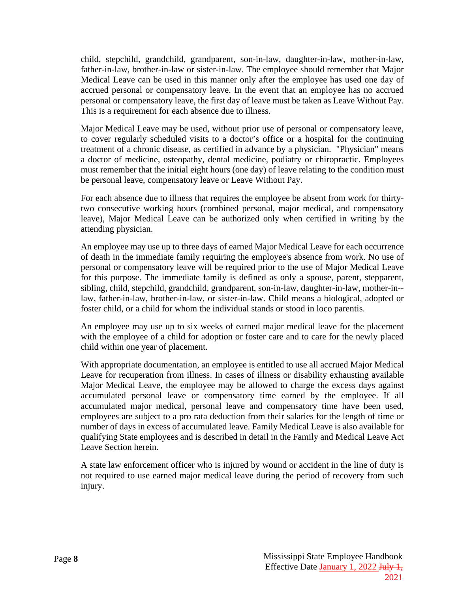child, stepchild, grandchild, grandparent, son-in-law, daughter-in-law, mother-in-law, father-in-law, brother-in-law or sister-in-law. The employee should remember that Major Medical Leave can be used in this manner only after the employee has used one day of accrued personal or compensatory leave. In the event that an employee has no accrued personal or compensatory leave, the first day of leave must be taken as Leave Without Pay. This is a requirement for each absence due to illness.

Major Medical Leave may be used, without prior use of personal or compensatory leave, to cover regularly scheduled visits to a doctor's office or a hospital for the continuing treatment of a chronic disease, as certified in advance by a physician. "Physician" means a doctor of medicine, osteopathy, dental medicine, podiatry or chiropractic. Employees must remember that the initial eight hours (one day) of leave relating to the condition must be personal leave, compensatory leave or Leave Without Pay.

For each absence due to illness that requires the employee be absent from work for thirtytwo consecutive working hours (combined personal, major medical, and compensatory leave), Major Medical Leave can be authorized only when certified in writing by the attending physician.

An employee may use up to three days of earned Major Medical Leave for each occurrence of death in the immediate family requiring the employee's absence from work. No use of personal or compensatory leave will be required prior to the use of Major Medical Leave for this purpose. The immediate family is defined as only a spouse, parent, stepparent, sibling, child, stepchild, grandchild, grandparent, son-in-law, daughter-in-law, mother-in- law, father-in-law, brother-in-law, or sister-in-law. Child means a biological, adopted or foster child, or a child for whom the individual stands or stood in loco parentis.

An employee may use up to six weeks of earned major medical leave for the placement with the employee of a child for adoption or foster care and to care for the newly placed child within one year of placement.

With appropriate documentation, an employee is entitled to use all accrued Major Medical Leave for recuperation from illness. In cases of illness or disability exhausting available Major Medical Leave, the employee may be allowed to charge the excess days against accumulated personal leave or compensatory time earned by the employee. If all accumulated major medical, personal leave and compensatory time have been used, employees are subject to a pro rata deduction from their salaries for the length of time or number of days in excess of accumulated leave. Family Medical Leave is also available for qualifying State employees and is described in detail in the Family and Medical Leave Act Leave Section herein.

A state law enforcement officer who is injured by wound or accident in the line of duty is not required to use earned major medical leave during the period of recovery from such injury.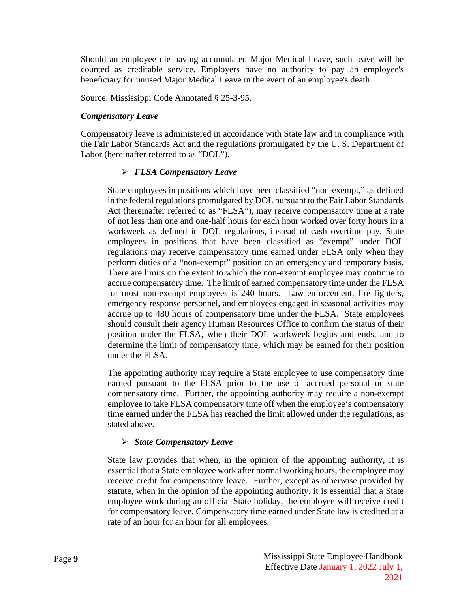Should an employee die having accumulated Major Medical Leave, such leave will be counted as creditable service. Employers have no authority to pay an employee's beneficiary for unused Major Medical Leave in the event of an employee's death.

Source: Mississippi Code Annotated § 25-3-95.

#### <span id="page-12-0"></span>*Compensatory Leave*

Compensatory leave is administered in accordance with State law and in compliance with the Fair Labor Standards Act and the regulations promulgated by the U. S. Department of Labor (hereinafter referred to as "DOL").

#### *FLSA Compensatory Leave*

State employees in positions which have been classified "non-exempt," as defined in the federal regulations promulgated by DOL pursuant to the Fair Labor Standards Act (hereinafter referred to as "FLSA"), may receive compensatory time at a rate of not less than one and one-half hours for each hour worked over forty hours in a workweek as defined in DOL regulations, instead of cash overtime pay. State employees in positions that have been classified as "exempt" under DOL regulations may receive compensatory time earned under FLSA only when they perform duties of a "non-exempt" position on an emergency and temporary basis. There are limits on the extent to which the non-exempt employee may continue to accrue compensatory time. The limit of earned compensatory time under the FLSA for most non-exempt employees is 240 hours. Law enforcement, fire fighters, emergency response personnel, and employees engaged in seasonal activities may accrue up to 480 hours of compensatory time under the FLSA. State employees should consult their agency Human Resources Office to confirm the status of their position under the FLSA, when their DOL workweek begins and ends, and to determine the limit of compensatory time, which may be earned for their position under the FLSA.

The appointing authority may require a State employee to use compensatory time earned pursuant to the FLSA prior to the use of accrued personal or state compensatory time. Further, the appointing authority may require a non-exempt employee to take FLSA compensatory time off when the employee's compensatory time earned under the FLSA has reached the limit allowed under the regulations, as stated above.

#### *State Compensatory Leave*

State law provides that when, in the opinion of the appointing authority, it is essential that a State employee work after normal working hours, the employee may receive credit for compensatory leave. Further, except as otherwise provided by statute, when in the opinion of the appointing authority, it is essential that a State employee work during an official State holiday, the employee will receive credit for compensatory leave. Compensatory time earned under State law is credited at a rate of an hour for an hour for all employees.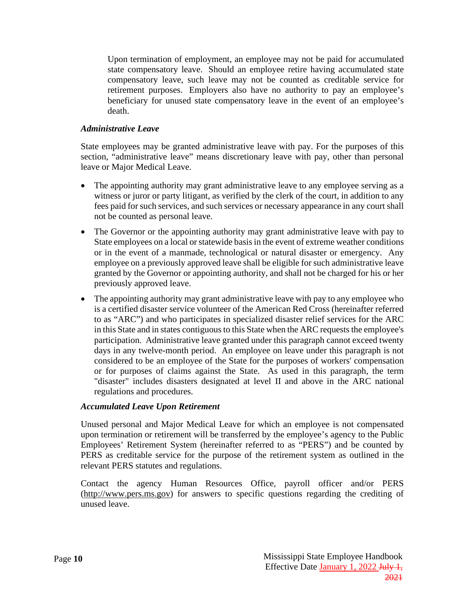Upon termination of employment, an employee may not be paid for accumulated state compensatory leave. Should an employee retire having accumulated state compensatory leave, such leave may not be counted as creditable service for retirement purposes. Employers also have no authority to pay an employee's beneficiary for unused state compensatory leave in the event of an employee's death.

#### <span id="page-13-0"></span>*Administrative Leave*

State employees may be granted administrative leave with pay. For the purposes of this section, "administrative leave" means discretionary leave with pay, other than personal leave or Major Medical Leave.

- The appointing authority may grant administrative leave to any employee serving as a witness or juror or party litigant, as verified by the clerk of the court, in addition to any fees paid for such services, and such services or necessary appearance in any court shall not be counted as personal leave.
- The Governor or the appointing authority may grant administrative leave with pay to State employees on a local or statewide basis in the event of extreme weather conditions or in the event of a manmade, technological or natural disaster or emergency. Any employee on a previously approved leave shall be eligible for such administrative leave granted by the Governor or appointing authority, and shall not be charged for his or her previously approved leave.
- The appointing authority may grant administrative leave with pay to any employee who is a certified disaster service volunteer of the American Red Cross (hereinafter referred to as "ARC") and who participates in specialized disaster relief services for the ARC in this State and in states contiguous to this State when the ARC requests the employee's participation. Administrative leave granted under this paragraph cannot exceed twenty days in any twelve-month period. An employee on leave under this paragraph is not considered to be an employee of the State for the purposes of workers' compensation or for purposes of claims against the State. As used in this paragraph, the term "disaster" includes disasters designated at level II and above in the ARC national regulations and procedures.

#### <span id="page-13-1"></span>*Accumulated Leave Upon Retirement*

Unused personal and Major Medical Leave for which an employee is not compensated upon termination or retirement will be transferred by the employee's agency to the Public Employees' Retirement System (hereinafter referred to as "PERS") and be counted by PERS as creditable service for the purpose of the retirement system as outlined in the relevant PERS statutes and regulations.

Contact the agency Human Resources Office, payroll officer and/or PERS [\(http://www.pers.ms.gov\)](http://www.pers.ms.gov/) for answers to specific questions regarding the crediting of unused leave.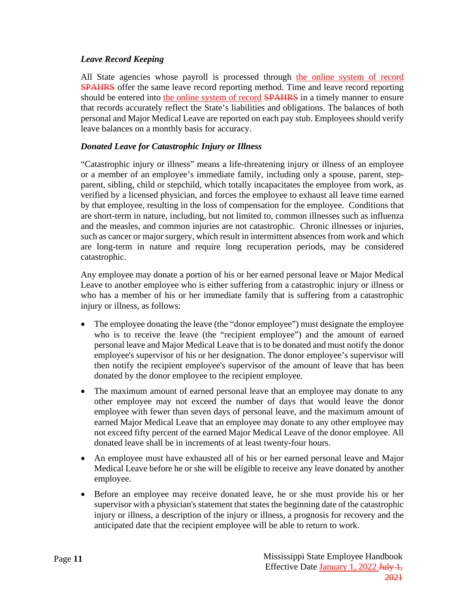#### <span id="page-14-0"></span>*Leave Record Keeping*

All State agencies whose payroll is processed through the online system of record **SPAHRS** offer the same leave record reporting method. Time and leave record reporting should be entered into the online system of record **SPAHRS** in a timely manner to ensure that records accurately reflect the State's liabilities and obligations. The balances of both personal and Major Medical Leave are reported on each pay stub. Employees should verify leave balances on a monthly basis for accuracy.

### <span id="page-14-1"></span>*Donated Leave for Catastrophic Injury or Illness*

"Catastrophic injury or illness" means a life-threatening injury or illness of an employee or a member of an employee's immediate family, including only a spouse, parent, stepparent, sibling, child or stepchild, which totally incapacitates the employee from work, as verified by a licensed physician, and forces the employee to exhaust all leave time earned by that employee, resulting in the loss of compensation for the employee. Conditions that are short-term in nature, including, but not limited to, common illnesses such as influenza and the measles, and common injuries are not catastrophic. Chronic illnesses or injuries, such as cancer or major surgery, which result in intermittent absences from work and which are long-term in nature and require long recuperation periods, may be considered catastrophic.

Any employee may donate a portion of his or her earned personal leave or Major Medical Leave to another employee who is either suffering from a catastrophic injury or illness or who has a member of his or her immediate family that is suffering from a catastrophic injury or illness, as follows:

- The employee donating the leave (the "donor employee") must designate the employee who is to receive the leave (the "recipient employee") and the amount of earned personal leave and Major Medical Leave that is to be donated and must notify the donor employee's supervisor of his or her designation. The donor employee's supervisor will then notify the recipient employee's supervisor of the amount of leave that has been donated by the donor employee to the recipient employee.
- The maximum amount of earned personal leave that an employee may donate to any other employee may not exceed the number of days that would leave the donor employee with fewer than seven days of personal leave, and the maximum amount of earned Major Medical Leave that an employee may donate to any other employee may not exceed fifty percent of the earned Major Medical Leave of the donor employee. All donated leave shall be in increments of at least twenty-four hours.
- An employee must have exhausted all of his or her earned personal leave and Major Medical Leave before he or she will be eligible to receive any leave donated by another employee.
- Before an employee may receive donated leave, he or she must provide his or her supervisor with a physician's statement that states the beginning date of the catastrophic injury or illness, a description of the injury or illness, a prognosis for recovery and the anticipated date that the recipient employee will be able to return to work.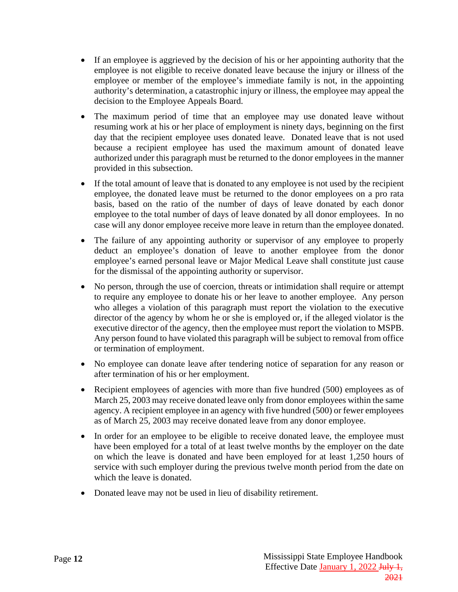- If an employee is aggrieved by the decision of his or her appointing authority that the employee is not eligible to receive donated leave because the injury or illness of the employee or member of the employee's immediate family is not, in the appointing authority's determination, a catastrophic injury or illness, the employee may appeal the decision to the Employee Appeals Board.
- The maximum period of time that an employee may use donated leave without resuming work at his or her place of employment is ninety days, beginning on the first day that the recipient employee uses donated leave. Donated leave that is not used because a recipient employee has used the maximum amount of donated leave authorized under this paragraph must be returned to the donor employees in the manner provided in this subsection.
- If the total amount of leave that is donated to any employee is not used by the recipient employee, the donated leave must be returned to the donor employees on a pro rata basis, based on the ratio of the number of days of leave donated by each donor employee to the total number of days of leave donated by all donor employees. In no case will any donor employee receive more leave in return than the employee donated.
- The failure of any appointing authority or supervisor of any employee to properly deduct an employee's donation of leave to another employee from the donor employee's earned personal leave or Major Medical Leave shall constitute just cause for the dismissal of the appointing authority or supervisor.
- No person, through the use of coercion, threats or intimidation shall require or attempt to require any employee to donate his or her leave to another employee. Any person who alleges a violation of this paragraph must report the violation to the executive director of the agency by whom he or she is employed or, if the alleged violator is the executive director of the agency, then the employee must report the violation to MSPB. Any person found to have violated this paragraph will be subject to removal from office or termination of employment.
- No employee can donate leave after tendering notice of separation for any reason or after termination of his or her employment.
- Recipient employees of agencies with more than five hundred (500) employees as of March 25, 2003 may receive donated leave only from donor employees within the same agency. A recipient employee in an agency with five hundred (500) or fewer employees as of March 25, 2003 may receive donated leave from any donor employee.
- In order for an employee to be eligible to receive donated leave, the employee must have been employed for a total of at least twelve months by the employer on the date on which the leave is donated and have been employed for at least 1,250 hours of service with such employer during the previous twelve month period from the date on which the leave is donated.
- Donated leave may not be used in lieu of disability retirement.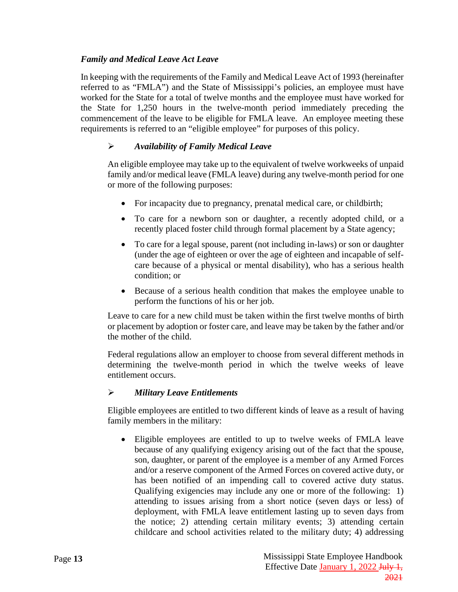### <span id="page-16-0"></span>*Family and Medical Leave Act Leave*

In keeping with the requirements of the Family and Medical Leave Act of 1993 (hereinafter referred to as "FMLA") and the State of Mississippi's policies, an employee must have worked for the State for a total of twelve months and the employee must have worked for the State for 1,250 hours in the twelve-month period immediately preceding the commencement of the leave to be eligible for FMLA leave. An employee meeting these requirements is referred to an "eligible employee" for purposes of this policy.

### *Availability of Family Medical Leave*

An eligible employee may take up to the equivalent of twelve workweeks of unpaid family and/or medical leave (FMLA leave) during any twelve-month period for one or more of the following purposes:

- For incapacity due to pregnancy, prenatal medical care, or childbirth;
- To care for a newborn son or daughter, a recently adopted child, or a recently placed foster child through formal placement by a State agency;
- To care for a legal spouse, parent (not including in-laws) or son or daughter (under the age of eighteen or over the age of eighteen and incapable of selfcare because of a physical or mental disability), who has a serious health condition; or
- Because of a serious health condition that makes the employee unable to perform the functions of his or her job.

Leave to care for a new child must be taken within the first twelve months of birth or placement by adoption or foster care, and leave may be taken by the father and/or the mother of the child.

Federal regulations allow an employer to choose from several different methods in determining the twelve-month period in which the twelve weeks of leave entitlement occurs.

#### *Military Leave Entitlements*

Eligible employees are entitled to two different kinds of leave as a result of having family members in the military:

• Eligible employees are entitled to up to twelve weeks of FMLA leave because of any qualifying exigency arising out of the fact that the spouse, son, daughter, or parent of the employee is a member of any Armed Forces and/or a reserve component of the Armed Forces on covered active duty, or has been notified of an impending call to covered active duty status. Qualifying exigencies may include any one or more of the following: 1) attending to issues arising from a short notice (seven days or less) of deployment, with FMLA leave entitlement lasting up to seven days from the notice; 2) attending certain military events; 3) attending certain childcare and school activities related to the military duty; 4) addressing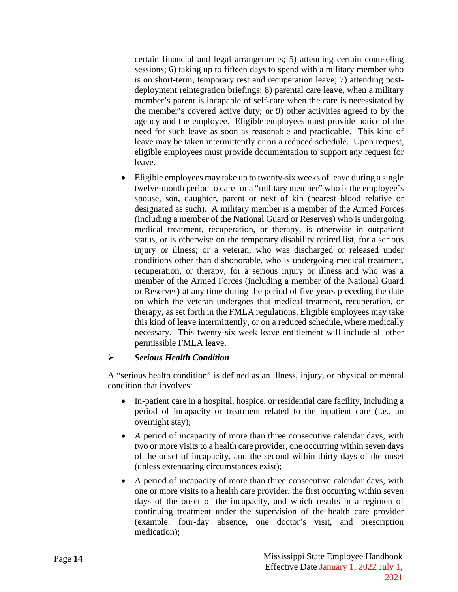certain financial and legal arrangements; 5) attending certain counseling sessions; 6) taking up to fifteen days to spend with a military member who is on short-term, temporary rest and recuperation leave; 7) attending postdeployment reintegration briefings; 8) parental care leave, when a military member's parent is incapable of self-care when the care is necessitated by the member's covered active duty; or 9) other activities agreed to by the agency and the employee. Eligible employees must provide notice of the need for such leave as soon as reasonable and practicable. This kind of leave may be taken intermittently or on a reduced schedule. Upon request, eligible employees must provide documentation to support any request for leave.

• Eligible employees may take up to twenty-six weeks of leave during a single twelve-month period to care for a "military member" who is the employee's spouse, son, daughter, parent or next of kin (nearest blood relative or designated as such). A military member is a member of the Armed Forces (including a member of the National Guard or Reserves) who is undergoing medical treatment, recuperation, or therapy, is otherwise in outpatient status, or is otherwise on the temporary disability retired list, for a serious injury or illness; or a veteran, who was discharged or released under conditions other than dishonorable, who is undergoing medical treatment, recuperation, or therapy, for a serious injury or illness and who was a member of the Armed Forces (including a member of the National Guard or Reserves) at any time during the period of five years preceding the date on which the veteran undergoes that medical treatment, recuperation, or therapy, as set forth in the FMLA regulations. Eligible employees may take this kind of leave intermittently, or on a reduced schedule, where medically necessary. This twenty-six week leave entitlement will include all other permissible FMLA leave.

#### *Serious Health Condition*

A "serious health condition" is defined as an illness, injury, or physical or mental condition that involves:

- In-patient care in a hospital, hospice, or residential care facility, including a period of incapacity or treatment related to the inpatient care (i.e., an overnight stay);
- A period of incapacity of more than three consecutive calendar days, with two or more visits to a health care provider, one occurring within seven days of the onset of incapacity, and the second within thirty days of the onset (unless extenuating circumstances exist);
- A period of incapacity of more than three consecutive calendar days, with one or more visits to a health care provider, the first occurring within seven days of the onset of the incapacity, and which results in a regimen of continuing treatment under the supervision of the health care provider (example: four-day absence, one doctor's visit, and prescription medication);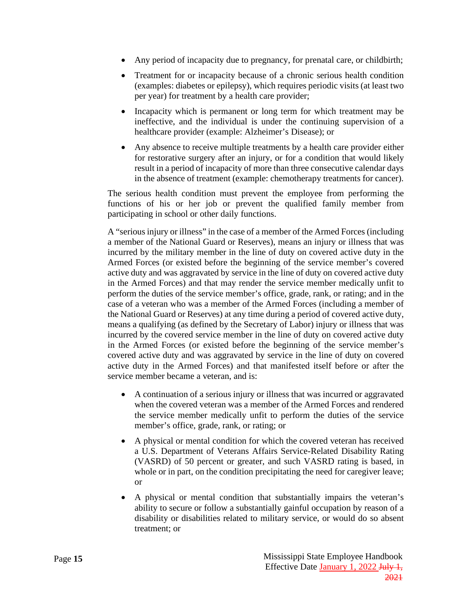- Any period of incapacity due to pregnancy, for prenatal care, or childbirth;
- Treatment for or incapacity because of a chronic serious health condition (examples: diabetes or epilepsy), which requires periodic visits (at least two per year) for treatment by a health care provider;
- Incapacity which is permanent or long term for which treatment may be ineffective, and the individual is under the continuing supervision of a healthcare provider (example: Alzheimer's Disease); or
- Any absence to receive multiple treatments by a health care provider either for restorative surgery after an injury, or for a condition that would likely result in a period of incapacity of more than three consecutive calendar days in the absence of treatment (example: chemotherapy treatments for cancer).

The serious health condition must prevent the employee from performing the functions of his or her job or prevent the qualified family member from participating in school or other daily functions.

A "serious injury or illness" in the case of a member of the Armed Forces (including a member of the National Guard or Reserves), means an injury or illness that was incurred by the military member in the line of duty on covered active duty in the Armed Forces (or existed before the beginning of the service member's covered active duty and was aggravated by service in the line of duty on covered active duty in the Armed Forces) and that may render the service member medically unfit to perform the duties of the service member's office, grade, rank, or rating; and in the case of a veteran who was a member of the Armed Forces (including a member of the National Guard or Reserves) at any time during a period of covered active duty, means a qualifying (as defined by the Secretary of Labor) injury or illness that was incurred by the covered service member in the line of duty on covered active duty in the Armed Forces (or existed before the beginning of the service member's covered active duty and was aggravated by service in the line of duty on covered active duty in the Armed Forces) and that manifested itself before or after the service member became a veteran, and is:

- A continuation of a serious injury or illness that was incurred or aggravated when the covered veteran was a member of the Armed Forces and rendered the service member medically unfit to perform the duties of the service member's office, grade, rank, or rating; or
- A physical or mental condition for which the covered veteran has received a U.S. Department of Veterans Affairs Service-Related Disability Rating (VASRD) of 50 percent or greater, and such VASRD rating is based, in whole or in part, on the condition precipitating the need for caregiver leave; or
- A physical or mental condition that substantially impairs the veteran's ability to secure or follow a substantially gainful occupation by reason of a disability or disabilities related to military service, or would do so absent treatment; or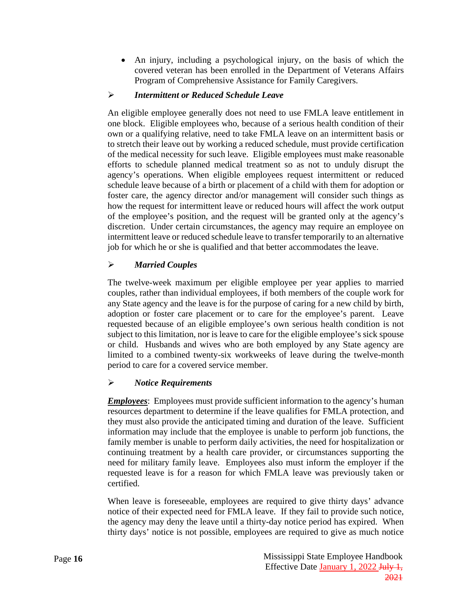• An injury, including a psychological injury, on the basis of which the covered veteran has been enrolled in the Department of Veterans Affairs Program of Comprehensive Assistance for Family Caregivers.

### *Intermittent or Reduced Schedule Leave*

An eligible employee generally does not need to use FMLA leave entitlement in one block. Eligible employees who, because of a serious health condition of their own or a qualifying relative, need to take FMLA leave on an intermittent basis or to stretch their leave out by working a reduced schedule, must provide certification of the medical necessity for such leave. Eligible employees must make reasonable efforts to schedule planned medical treatment so as not to unduly disrupt the agency's operations. When eligible employees request intermittent or reduced schedule leave because of a birth or placement of a child with them for adoption or foster care, the agency director and/or management will consider such things as how the request for intermittent leave or reduced hours will affect the work output of the employee's position, and the request will be granted only at the agency's discretion. Under certain circumstances, the agency may require an employee on intermittent leave or reduced schedule leave to transfer temporarily to an alternative job for which he or she is qualified and that better accommodates the leave.

### *Married Couples*

The twelve-week maximum per eligible employee per year applies to married couples, rather than individual employees, if both members of the couple work for any State agency and the leave is for the purpose of caring for a new child by birth, adoption or foster care placement or to care for the employee's parent. Leave requested because of an eligible employee's own serious health condition is not subject to this limitation, nor is leave to care for the eligible employee's sick spouse or child. Husbands and wives who are both employed by any State agency are limited to a combined twenty-six workweeks of leave during the twelve-month period to care for a covered service member.

### *Notice Requirements*

*Employees*: Employees must provide sufficient information to the agency's human resources department to determine if the leave qualifies for FMLA protection, and they must also provide the anticipated timing and duration of the leave. Sufficient information may include that the employee is unable to perform job functions, the family member is unable to perform daily activities, the need for hospitalization or continuing treatment by a health care provider, or circumstances supporting the need for military family leave. Employees also must inform the employer if the requested leave is for a reason for which FMLA leave was previously taken or certified.

When leave is foreseeable, employees are required to give thirty days' advance notice of their expected need for FMLA leave. If they fail to provide such notice, the agency may deny the leave until a thirty-day notice period has expired. When thirty days' notice is not possible, employees are required to give as much notice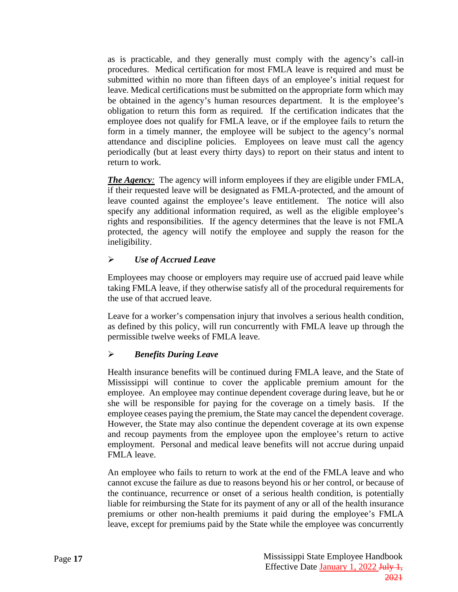as is practicable, and they generally must comply with the agency's call-in procedures. Medical certification for most FMLA leave is required and must be submitted within no more than fifteen days of an employee's initial request for leave. Medical certifications must be submitted on the appropriate form which may be obtained in the agency's human resources department. It is the employee's obligation to return this form as required. If the certification indicates that the employee does not qualify for FMLA leave, or if the employee fails to return the form in a timely manner, the employee will be subject to the agency's normal attendance and discipline policies. Employees on leave must call the agency periodically (but at least every thirty days) to report on their status and intent to return to work.

*The Agency*: The agency will inform employees if they are eligible under FMLA, if their requested leave will be designated as FMLA-protected, and the amount of leave counted against the employee's leave entitlement. The notice will also specify any additional information required, as well as the eligible employee's rights and responsibilities. If the agency determines that the leave is not FMLA protected, the agency will notify the employee and supply the reason for the ineligibility.

### *Use of Accrued Leave*

Employees may choose or employers may require use of accrued paid leave while taking FMLA leave, if they otherwise satisfy all of the procedural requirements for the use of that accrued leave.

Leave for a worker's compensation injury that involves a serious health condition, as defined by this policy, will run concurrently with FMLA leave up through the permissible twelve weeks of FMLA leave.

### *Benefits During Leave*

Health insurance benefits will be continued during FMLA leave, and the State of Mississippi will continue to cover the applicable premium amount for the employee. An employee may continue dependent coverage during leave, but he or she will be responsible for paying for the coverage on a timely basis. If the employee ceases paying the premium, the State may cancel the dependent coverage. However, the State may also continue the dependent coverage at its own expense and recoup payments from the employee upon the employee's return to active employment. Personal and medical leave benefits will not accrue during unpaid FMLA leave.

An employee who fails to return to work at the end of the FMLA leave and who cannot excuse the failure as due to reasons beyond his or her control, or because of the continuance, recurrence or onset of a serious health condition, is potentially liable for reimbursing the State for its payment of any or all of the health insurance premiums or other non-health premiums it paid during the employee's FMLA leave, except for premiums paid by the State while the employee was concurrently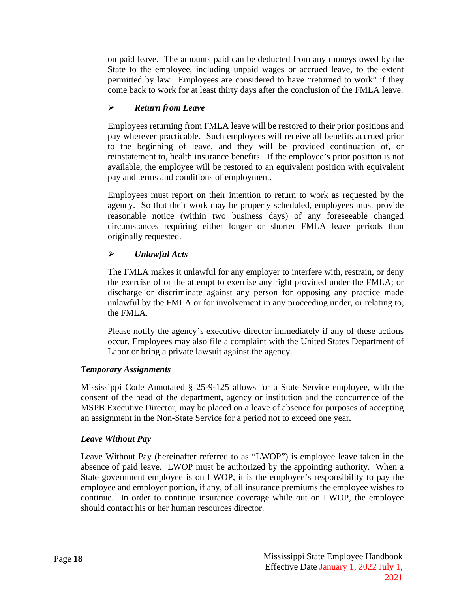on paid leave. The amounts paid can be deducted from any moneys owed by the State to the employee, including unpaid wages or accrued leave, to the extent permitted by law. Employees are considered to have "returned to work" if they come back to work for at least thirty days after the conclusion of the FMLA leave.

### *Return from Leave*

Employees returning from FMLA leave will be restored to their prior positions and pay wherever practicable. Such employees will receive all benefits accrued prior to the beginning of leave, and they will be provided continuation of, or reinstatement to, health insurance benefits. If the employee's prior position is not available, the employee will be restored to an equivalent position with equivalent pay and terms and conditions of employment.

Employees must report on their intention to return to work as requested by the agency. So that their work may be properly scheduled, employees must provide reasonable notice (within two business days) of any foreseeable changed circumstances requiring either longer or shorter FMLA leave periods than originally requested.

### *Unlawful Acts*

The FMLA makes it unlawful for any employer to interfere with, restrain, or deny the exercise of or the attempt to exercise any right provided under the FMLA; or discharge or discriminate against any person for opposing any practice made unlawful by the FMLA or for involvement in any proceeding under, or relating to, the FMLA.

Please notify the agency's executive director immediately if any of these actions occur. Employees may also file a complaint with the United States Department of Labor or bring a private lawsuit against the agency.

#### <span id="page-21-0"></span>*Temporary Assignments*

Mississippi Code Annotated § 25-9-125 allows for a State Service employee, with the consent of the head of the department, agency or institution and the concurrence of the MSPB Executive Director, may be placed on a leave of absence for purposes of accepting an assignment in the Non-State Service for a period not to exceed one year*.*

#### <span id="page-21-1"></span>*Leave Without Pay*

Leave Without Pay (hereinafter referred to as "LWOP") is employee leave taken in the absence of paid leave. LWOP must be authorized by the appointing authority. When a State government employee is on LWOP, it is the employee's responsibility to pay the employee and employer portion, if any, of all insurance premiums the employee wishes to continue. In order to continue insurance coverage while out on LWOP, the employee should contact his or her human resources director.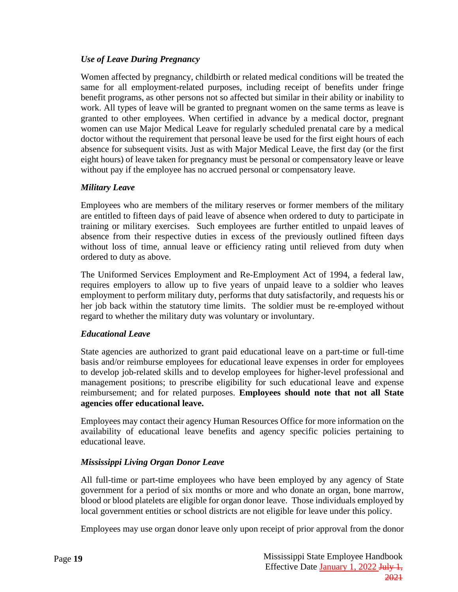### <span id="page-22-0"></span>*Use of Leave During Pregnancy*

Women affected by pregnancy, childbirth or related medical conditions will be treated the same for all employment-related purposes, including receipt of benefits under fringe benefit programs, as other persons not so affected but similar in their ability or inability to work. All types of leave will be granted to pregnant women on the same terms as leave is granted to other employees. When certified in advance by a medical doctor, pregnant women can use Major Medical Leave for regularly scheduled prenatal care by a medical doctor without the requirement that personal leave be used for the first eight hours of each absence for subsequent visits. Just as with Major Medical Leave, the first day (or the first eight hours) of leave taken for pregnancy must be personal or compensatory leave or leave without pay if the employee has no accrued personal or compensatory leave.

#### <span id="page-22-1"></span>*Military Leave*

Employees who are members of the military reserves or former members of the military are entitled to fifteen days of paid leave of absence when ordered to duty to participate in training or military exercises. Such employees are further entitled to unpaid leaves of absence from their respective duties in excess of the previously outlined fifteen days without loss of time, annual leave or efficiency rating until relieved from duty when ordered to duty as above.

The Uniformed Services Employment and Re-Employment Act of 1994, a federal law, requires employers to allow up to five years of unpaid leave to a soldier who leaves employment to perform military duty, performs that duty satisfactorily, and requests his or her job back within the statutory time limits. The soldier must be re-employed without regard to whether the military duty was voluntary or involuntary.

#### <span id="page-22-2"></span>*Educational Leave*

State agencies are authorized to grant paid educational leave on a part-time or full-time basis and/or reimburse employees for educational leave expenses in order for employees to develop job-related skills and to develop employees for higher-level professional and management positions; to prescribe eligibility for such educational leave and expense reimbursement; and for related purposes. **Employees should note that not all State agencies offer educational leave.**

Employees may contact their agency Human Resources Office for more information on the availability of educational leave benefits and agency specific policies pertaining to educational leave.

#### <span id="page-22-3"></span>*Mississippi Living Organ Donor Leave*

All full-time or part-time employees who have been employed by any agency of State government for a period of six months or more and who donate an organ, bone marrow, blood or blood platelets are eligible for organ donor leave. Those individuals employed by local government entities or school districts are not eligible for leave under this policy.

Employees may use organ donor leave only upon receipt of prior approval from the donor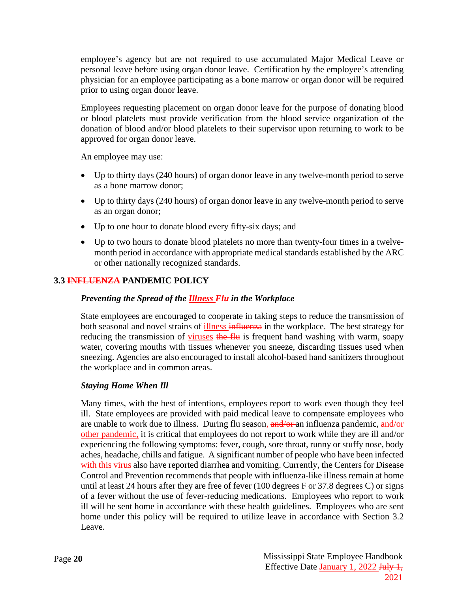employee's agency but are not required to use accumulated Major Medical Leave or personal leave before using organ donor leave. Certification by the employee's attending physician for an employee participating as a bone marrow or organ donor will be required prior to using organ donor leave.

Employees requesting placement on organ donor leave for the purpose of donating blood or blood platelets must provide verification from the blood service organization of the donation of blood and/or blood platelets to their supervisor upon returning to work to be approved for organ donor leave.

An employee may use:

- Up to thirty days (240 hours) of organ donor leave in any twelve-month period to serve as a bone marrow donor;
- Up to thirty days (240 hours) of organ donor leave in any twelve-month period to serve as an organ donor;
- Up to one hour to donate blood every fifty-six days; and
- Up to two hours to donate blood platelets no more than twenty-four times in a twelvemonth period in accordance with appropriate medical standards established by the ARC or other nationally recognized standards.

### <span id="page-23-0"></span>**3.3 INFLUENZA PANDEMIC POLICY**

### *Preventing the Spread of the Illness Flu in the Workplace*

State employees are encouraged to cooperate in taking steps to reduce the transmission of both seasonal and novel strains of illness influenza in the workplace. The best strategy for reducing the transmission of viruses the flu is frequent hand washing with warm, soapy water, covering mouths with tissues whenever you sneeze, discarding tissues used when sneezing. Agencies are also encouraged to install alcohol-based hand sanitizers throughout the workplace and in common areas.

#### *Staying Home When Ill*

Many times, with the best of intentions, employees report to work even though they feel ill. State employees are provided with paid medical leave to compensate employees who are unable to work due to illness. During flu season, and/or an influenza pandemic, and/or other pandemic, it is critical that employees do not report to work while they are ill and/or experiencing the following symptoms: fever, cough, sore throat, runny or stuffy nose, body aches, headache, chills and fatigue. A significant number of people who have been infected with this virus also have reported diarrhea and vomiting. Currently, the Centers for Disease Control and Prevention recommends that people with influenza-like illness remain at home until at least 24 hours after they are free of fever (100 degrees F or 37.8 degrees C) or signs of a fever without the use of fever-reducing medications. Employees who report to work ill will be sent home in accordance with these health guidelines. Employees who are sent home under this policy will be required to utilize leave in accordance with Section 3.2 Leave.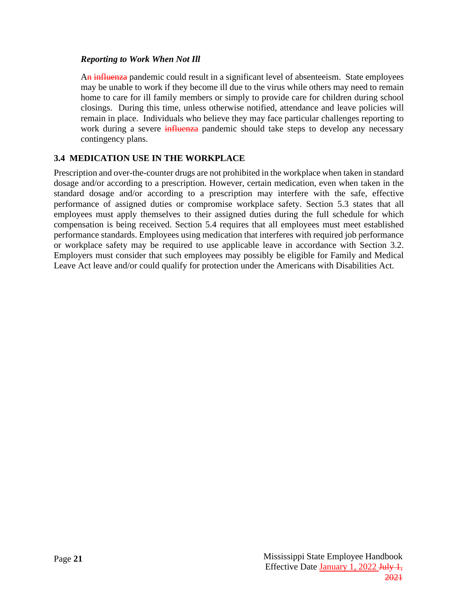#### *Reporting to Work When Not Ill*

An influenza pandemic could result in a significant level of absenteeism. State employees may be unable to work if they become ill due to the virus while others may need to remain home to care for ill family members or simply to provide care for children during school closings. During this time, unless otherwise notified, attendance and leave policies will remain in place. Individuals who believe they may face particular challenges reporting to work during a severe *influenza* pandemic should take steps to develop any necessary contingency plans.

### <span id="page-24-0"></span>**3.4 MEDICATION USE IN THE WORKPLACE**

Prescription and over-the-counter drugs are not prohibited in the workplace when taken in standard dosage and/or according to a prescription. However, certain medication, even when taken in the standard dosage and/or according to a prescription may interfere with the safe, effective performance of assigned duties or compromise workplace safety. Section 5.3 states that all employees must apply themselves to their assigned duties during the full schedule for which compensation is being received. Section 5.4 requires that all employees must meet established performance standards. Employees using medication that interferes with required job performance or workplace safety may be required to use applicable leave in accordance with Section 3.2. Employers must consider that such employees may possibly be eligible for Family and Medical Leave Act leave and/or could qualify for protection under the Americans with Disabilities Act.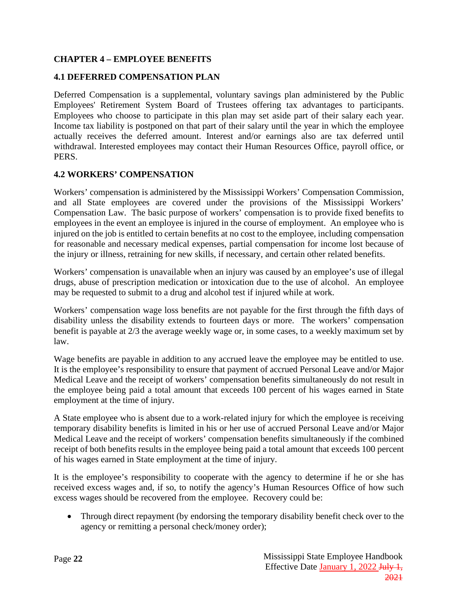### <span id="page-25-0"></span>**CHAPTER 4 – EMPLOYEE BENEFITS**

### <span id="page-25-1"></span>**4.1 DEFERRED COMPENSATION PLAN**

Deferred Compensation is a supplemental, voluntary savings plan administered by the Public Employees' Retirement System Board of Trustees offering tax advantages to participants. Employees who choose to participate in this plan may set aside part of their salary each year. Income tax liability is postponed on that part of their salary until the year in which the employee actually receives the deferred amount. Interest and/or earnings also are tax deferred until withdrawal. Interested employees may contact their Human Resources Office, payroll office, or PERS.

#### <span id="page-25-2"></span>**4.2 WORKERS' COMPENSATION**

Workers' compensation is administered by the Mississippi Workers' Compensation Commission, and all State employees are covered under the provisions of the Mississippi Workers' Compensation Law. The basic purpose of workers' compensation is to provide fixed benefits to employees in the event an employee is injured in the course of employment. An employee who is injured on the job is entitled to certain benefits at no cost to the employee, including compensation for reasonable and necessary medical expenses, partial compensation for income lost because of the injury or illness, retraining for new skills, if necessary, and certain other related benefits.

Workers' compensation is unavailable when an injury was caused by an employee's use of illegal drugs, abuse of prescription medication or intoxication due to the use of alcohol. An employee may be requested to submit to a drug and alcohol test if injured while at work.

Workers' compensation wage loss benefits are not payable for the first through the fifth days of disability unless the disability extends to fourteen days or more. The workers' compensation benefit is payable at 2/3 the average weekly wage or, in some cases, to a weekly maximum set by law.

Wage benefits are payable in addition to any accrued leave the employee may be entitled to use. It is the employee's responsibility to ensure that payment of accrued Personal Leave and/or Major Medical Leave and the receipt of workers' compensation benefits simultaneously do not result in the employee being paid a total amount that exceeds 100 percent of his wages earned in State employment at the time of injury.

A State employee who is absent due to a work-related injury for which the employee is receiving temporary disability benefits is limited in his or her use of accrued Personal Leave and/or Major Medical Leave and the receipt of workers' compensation benefits simultaneously if the combined receipt of both benefits results in the employee being paid a total amount that exceeds 100 percent of his wages earned in State employment at the time of injury.

It is the employee's responsibility to cooperate with the agency to determine if he or she has received excess wages and, if so, to notify the agency's Human Resources Office of how such excess wages should be recovered from the employee. Recovery could be:

• Through direct repayment (by endorsing the temporary disability benefit check over to the agency or remitting a personal check/money order);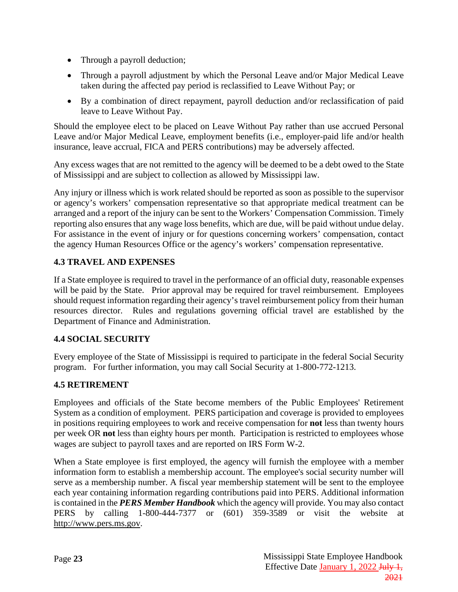- Through a payroll deduction;
- Through a payroll adjustment by which the Personal Leave and/or Major Medical Leave taken during the affected pay period is reclassified to Leave Without Pay; or
- By a combination of direct repayment, payroll deduction and/or reclassification of paid leave to Leave Without Pay.

Should the employee elect to be placed on Leave Without Pay rather than use accrued Personal Leave and/or Major Medical Leave, employment benefits (i.e., employer-paid life and/or health insurance, leave accrual, FICA and PERS contributions) may be adversely affected.

Any excess wages that are not remitted to the agency will be deemed to be a debt owed to the State of Mississippi and are subject to collection as allowed by Mississippi law.

Any injury or illness which is work related should be reported as soon as possible to the supervisor or agency's workers' compensation representative so that appropriate medical treatment can be arranged and a report of the injury can be sent to the Workers' Compensation Commission. Timely reporting also ensures that any wage loss benefits, which are due, will be paid without undue delay. For assistance in the event of injury or for questions concerning workers' compensation, contact the agency Human Resources Office or the agency's workers' compensation representative.

### <span id="page-26-0"></span>**4.3 TRAVEL AND EXPENSES**

If a State employee is required to travel in the performance of an official duty, reasonable expenses will be paid by the State. Prior approval may be required for travel reimbursement. Employees should request information regarding their agency's travel reimbursement policy from their human resources director. Rules and regulations governing official travel are established by the Department of Finance and Administration.

# <span id="page-26-1"></span>**4.4 SOCIAL SECURITY**

Every employee of the State of Mississippi is required to participate in the federal Social Security program. For further information, you may call Social Security at 1-800-772-1213.

### <span id="page-26-2"></span>**4.5 RETIREMENT**

Employees and officials of the State become members of the Public Employees' Retirement System as a condition of employment. PERS participation and coverage is provided to employees in positions requiring employees to work and receive compensation for **not** less than twenty hours per week OR **not** less than eighty hours per month. Participation is restricted to employees whose wages are subject to payroll taxes and are reported on IRS Form W-2.

When a State employee is first employed, the agency will furnish the employee with a member information form to establish a membership account. The employee's social security number will serve as a membership number. A fiscal year membership statement will be sent to the employee each year containing information regarding contributions paid into PERS. Additional information is contained in the *PERS Member Handbook* which the agency will provide. You may also contact PERS by calling 1-800-444-7377 or (601) 359-3589 or visit the website at [http://www.pers.ms.gov.](http://www.pers.ms.gov/)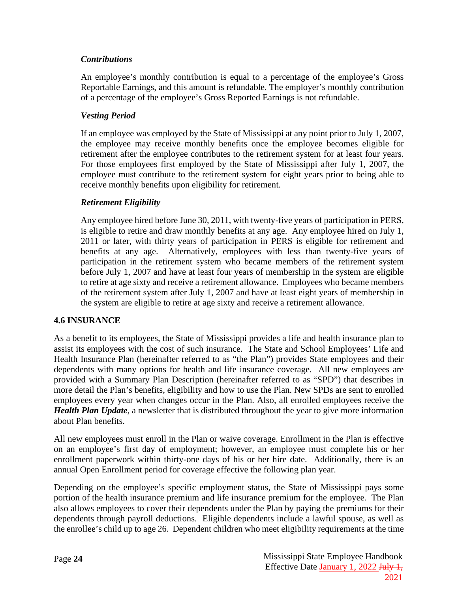### <span id="page-27-0"></span>*Contributions*

An employee's monthly contribution is equal to a percentage of the employee's Gross Reportable Earnings, and this amount is refundable. The employer's monthly contribution of a percentage of the employee's Gross Reported Earnings is not refundable.

### <span id="page-27-1"></span>*Vesting Period*

If an employee was employed by the State of Mississippi at any point prior to July 1, 2007, the employee may receive monthly benefits once the employee becomes eligible for retirement after the employee contributes to the retirement system for at least four years. For those employees first employed by the State of Mississippi after July 1, 2007, the employee must contribute to the retirement system for eight years prior to being able to receive monthly benefits upon eligibility for retirement.

### <span id="page-27-2"></span>*Retirement Eligibility*

Any employee hired before June 30, 2011, with twenty-five years of participation in PERS, is eligible to retire and draw monthly benefits at any age. Any employee hired on July 1, 2011 or later, with thirty years of participation in PERS is eligible for retirement and benefits at any age. Alternatively, employees with less than twenty-five years of participation in the retirement system who became members of the retirement system before July 1, 2007 and have at least four years of membership in the system are eligible to retire at age sixty and receive a retirement allowance. Employees who became members of the retirement system after July 1, 2007 and have at least eight years of membership in the system are eligible to retire at age sixty and receive a retirement allowance.

#### <span id="page-27-3"></span>**4.6 INSURANCE**

As a benefit to its employees, the State of Mississippi provides a life and health insurance plan to assist its employees with the cost of such insurance. The State and School Employees' Life and Health Insurance Plan (hereinafter referred to as "the Plan") provides State employees and their dependents with many options for health and life insurance coverage. All new employees are provided with a Summary Plan Description (hereinafter referred to as "SPD") that describes in more detail the Plan's benefits, eligibility and how to use the Plan. New SPDs are sent to enrolled employees every year when changes occur in the Plan. Also, all enrolled employees receive the *Health Plan Update*, a newsletter that is distributed throughout the year to give more information about Plan benefits.

All new employees must enroll in the Plan or waive coverage. Enrollment in the Plan is effective on an employee's first day of employment; however, an employee must complete his or her enrollment paperwork within thirty-one days of his or her hire date. Additionally, there is an annual Open Enrollment period for coverage effective the following plan year.

Depending on the employee's specific employment status, the State of Mississippi pays some portion of the health insurance premium and life insurance premium for the employee. The Plan also allows employees to cover their dependents under the Plan by paying the premiums for their dependents through payroll deductions. Eligible dependents include a lawful spouse, as well as the enrollee's child up to age 26. Dependent children who meet eligibility requirements at the time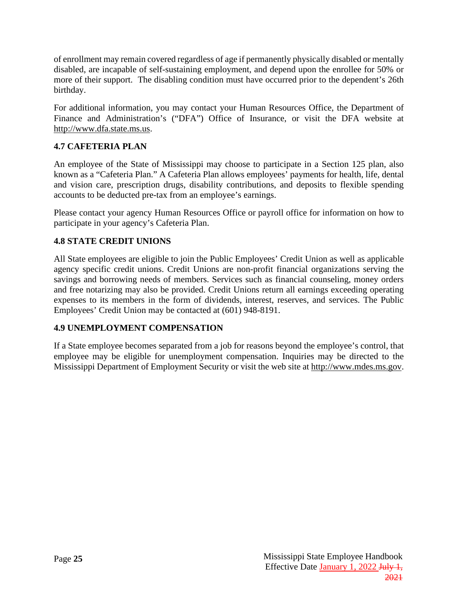of enrollment may remain covered regardless of age if permanently physically disabled or mentally disabled, are incapable of self-sustaining employment, and depend upon the enrollee for 50% or more of their support. The disabling condition must have occurred prior to the dependent's 26th birthday.

For additional information, you may contact your Human Resources Office, the Department of Finance and Administration's ("DFA") Office of Insurance, or visit the DFA website at [http://www.dfa.state.ms.us.](http://www.dfa.state.ms.us/)

# <span id="page-28-0"></span>**4.7 CAFETERIA PLAN**

An employee of the State of Mississippi may choose to participate in a Section 125 plan, also known as a "Cafeteria Plan." A Cafeteria Plan allows employees' payments for health, life, dental and vision care, prescription drugs, disability contributions, and deposits to flexible spending accounts to be deducted pre-tax from an employee's earnings.

Please contact your agency Human Resources Office or payroll office for information on how to participate in your agency's Cafeteria Plan.

# <span id="page-28-1"></span>**4.8 STATE CREDIT UNIONS**

All State employees are eligible to join the Public Employees' Credit Union as well as applicable agency specific credit unions. Credit Unions are non-profit financial organizations serving the savings and borrowing needs of members. Services such as financial counseling, money orders and free notarizing may also be provided. Credit Unions return all earnings exceeding operating expenses to its members in the form of dividends, interest, reserves, and services. The Public Employees' Credit Union may be contacted at (601) 948-8191.

### <span id="page-28-2"></span>**4.9 UNEMPLOYMENT COMPENSATION**

If a State employee becomes separated from a job for reasons beyond the employee's control, that employee may be eligible for unemployment compensation. Inquiries may be directed to the Mississippi Department of Employment Security or visit the web site at [http://www.mdes.ms.gov.](http://www.mdes.ms.gov/)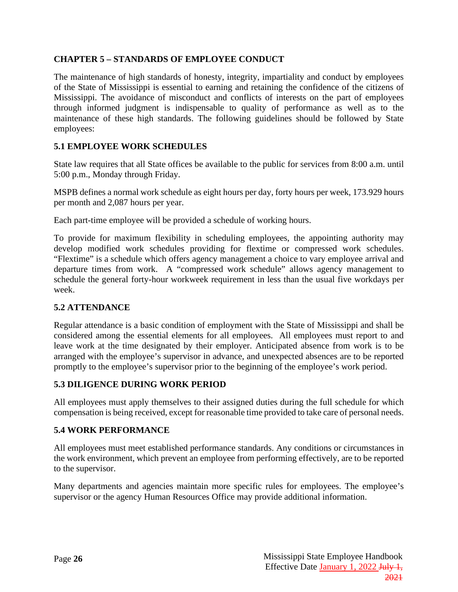### <span id="page-29-0"></span>**CHAPTER 5 – STANDARDS OF EMPLOYEE CONDUCT**

The maintenance of high standards of honesty, integrity, impartiality and conduct by employees of the State of Mississippi is essential to earning and retaining the confidence of the citizens of Mississippi. The avoidance of misconduct and conflicts of interests on the part of employees through informed judgment is indispensable to quality of performance as well as to the maintenance of these high standards. The following guidelines should be followed by State employees:

### <span id="page-29-1"></span>**5.1 EMPLOYEE WORK SCHEDULES**

State law requires that all State offices be available to the public for services from 8:00 a.m. until 5:00 p.m., Monday through Friday.

MSPB defines a normal work schedule as eight hours per day, forty hours per week, 173.929 hours per month and 2,087 hours per year.

Each part-time employee will be provided a schedule of working hours.

To provide for maximum flexibility in scheduling employees, the appointing authority may develop modified work schedules providing for flextime or compressed work schedules. "Flextime" is a schedule which offers agency management a choice to vary employee arrival and departure times from work. A "compressed work schedule" allows agency management to schedule the general forty-hour workweek requirement in less than the usual five workdays per week.

#### <span id="page-29-2"></span>**5.2 ATTENDANCE**

Regular attendance is a basic condition of employment with the State of Mississippi and shall be considered among the essential elements for all employees. All employees must report to and leave work at the time designated by their employer. Anticipated absence from work is to be arranged with the employee's supervisor in advance, and unexpected absences are to be reported promptly to the employee's supervisor prior to the beginning of the employee's work period.

#### <span id="page-29-3"></span>**5.3 DILIGENCE DURING WORK PERIOD**

All employees must apply themselves to their assigned duties during the full schedule for which compensation is being received, except for reasonable time provided to take care of personal needs.

#### <span id="page-29-4"></span>**5.4 WORK PERFORMANCE**

All employees must meet established performance standards. Any conditions or circumstances in the work environment, which prevent an employee from performing effectively, are to be reported to the supervisor.

Many departments and agencies maintain more specific rules for employees. The employee's supervisor or the agency Human Resources Office may provide additional information.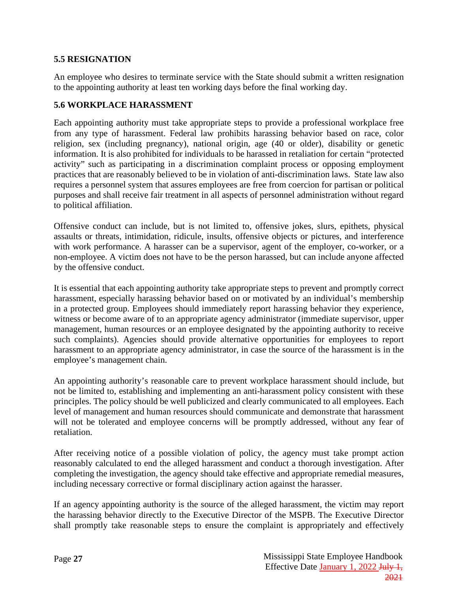#### <span id="page-30-0"></span>**5.5 RESIGNATION**

An employee who desires to terminate service with the State should submit a written resignation to the appointing authority at least ten working days before the final working day.

### <span id="page-30-1"></span>**5.6 WORKPLACE HARASSMENT**

Each appointing authority must take appropriate steps to provide a professional workplace free from any type of harassment. Federal law prohibits harassing behavior based on race, color religion, sex (including pregnancy), national origin, age (40 or older), disability or genetic information. It is also prohibited for individuals to be harassed in retaliation for certain "protected activity" such as participating in a discrimination complaint process or opposing employment practices that are reasonably believed to be in violation of anti-discrimination laws. State law also requires a personnel system that assures employees are free from coercion for partisan or political purposes and shall receive fair treatment in all aspects of personnel administration without regard to political affiliation.

Offensive conduct can include, but is not limited to, offensive jokes, slurs, epithets, physical assaults or threats, intimidation, ridicule, insults, offensive objects or pictures, and interference with work performance. A harasser can be a supervisor, agent of the employer, co-worker, or a non-employee. A victim does not have to be the person harassed, but can include anyone affected by the offensive conduct.

It is essential that each appointing authority take appropriate steps to prevent and promptly correct harassment, especially harassing behavior based on or motivated by an individual's membership in a protected group. Employees should immediately report harassing behavior they experience, witness or become aware of to an appropriate agency administrator (immediate supervisor, upper management, human resources or an employee designated by the appointing authority to receive such complaints). Agencies should provide alternative opportunities for employees to report harassment to an appropriate agency administrator, in case the source of the harassment is in the employee's management chain.

An appointing authority's reasonable care to prevent workplace harassment should include, but not be limited to, establishing and implementing an anti-harassment policy consistent with these principles. The policy should be well publicized and clearly communicated to all employees. Each level of management and human resources should communicate and demonstrate that harassment will not be tolerated and employee concerns will be promptly addressed, without any fear of retaliation.

After receiving notice of a possible violation of policy, the agency must take prompt action reasonably calculated to end the alleged harassment and conduct a thorough investigation. After completing the investigation, the agency should take effective and appropriate remedial measures, including necessary corrective or formal disciplinary action against the harasser.

If an agency appointing authority is the source of the alleged harassment, the victim may report the harassing behavior directly to the Executive Director of the MSPB. The Executive Director shall promptly take reasonable steps to ensure the complaint is appropriately and effectively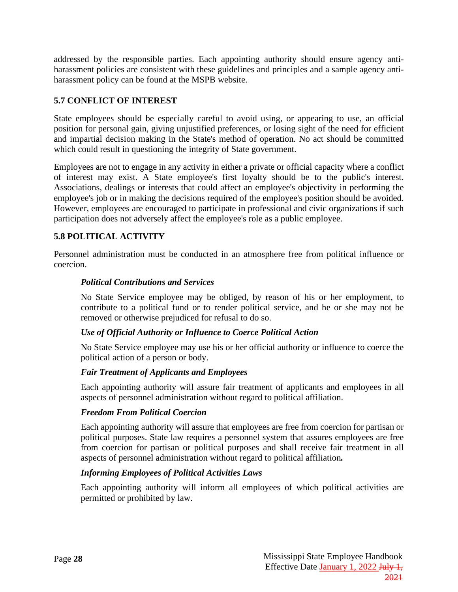addressed by the responsible parties. Each appointing authority should ensure agency antiharassment policies are consistent with these guidelines and principles and a sample agency antiharassment policy can be found at the MSPB website.

### <span id="page-31-0"></span>**5.7 CONFLICT OF INTEREST**

State employees should be especially careful to avoid using, or appearing to use, an official position for personal gain, giving unjustified preferences, or losing sight of the need for efficient and impartial decision making in the State's method of operation. No act should be committed which could result in questioning the integrity of State government.

Employees are not to engage in any activity in either a private or official capacity where a conflict of interest may exist. A State employee's first loyalty should be to the public's interest. Associations, dealings or interests that could affect an employee's objectivity in performing the employee's job or in making the decisions required of the employee's position should be avoided. However, employees are encouraged to participate in professional and civic organizations if such participation does not adversely affect the employee's role as a public employee.

### <span id="page-31-1"></span>**5.8 POLITICAL ACTIVITY**

<span id="page-31-2"></span>Personnel administration must be conducted in an atmosphere free from political influence or coercion.

#### *Political Contributions and Services*

No State Service employee may be obliged, by reason of his or her employment, to contribute to a political fund or to render political service, and he or she may not be removed or otherwise prejudiced for refusal to do so.

#### <span id="page-31-3"></span>*Use of Official Authority or Influence to Coerce Political Action*

No State Service employee may use his or her official authority or influence to coerce the political action of a person or body.

#### <span id="page-31-4"></span>*Fair Treatment of Applicants and Employees*

Each appointing authority will assure fair treatment of applicants and employees in all aspects of personnel administration without regard to political affiliation.

#### <span id="page-31-5"></span>*Freedom From Political Coercion*

Each appointing authority will assure that employees are free from coercion for partisan or political purposes. State law requires a personnel system that assures employees are free from coercion for partisan or political purposes and shall receive fair treatment in all aspects of personnel administration without regard to political affiliation*.*

#### <span id="page-31-6"></span>*Informing Employees of Political Activities Laws*

Each appointing authority will inform all employees of which political activities are permitted or prohibited by law.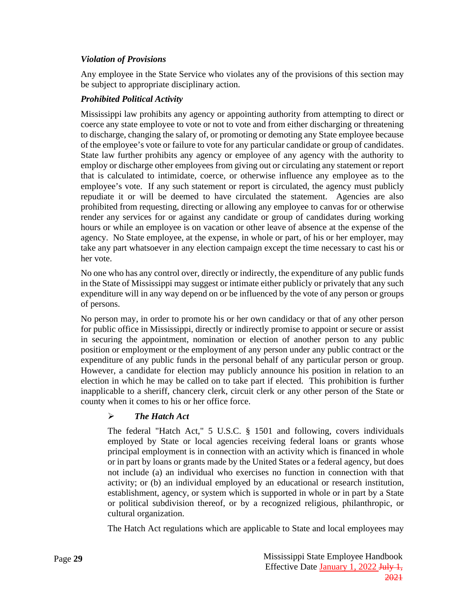### <span id="page-32-0"></span>*Violation of Provisions*

Any employee in the State Service who violates any of the provisions of this section may be subject to appropriate disciplinary action.

### <span id="page-32-1"></span>*Prohibited Political Activity*

Mississippi law prohibits any agency or appointing authority from attempting to direct or coerce any state employee to vote or not to vote and from either discharging or threatening to discharge, changing the salary of, or promoting or demoting any State employee because of the employee's vote or failure to vote for any particular candidate or group of candidates. State law further prohibits any agency or employee of any agency with the authority to employ or discharge other employees from giving out or circulating any statement or report that is calculated to intimidate, coerce, or otherwise influence any employee as to the employee's vote. If any such statement or report is circulated, the agency must publicly repudiate it or will be deemed to have circulated the statement. Agencies are also prohibited from requesting, directing or allowing any employee to canvas for or otherwise render any services for or against any candidate or group of candidates during working hours or while an employee is on vacation or other leave of absence at the expense of the agency. No State employee, at the expense, in whole or part, of his or her employer, may take any part whatsoever in any election campaign except the time necessary to cast his or her vote.

No one who has any control over, directly or indirectly, the expenditure of any public funds in the State of Mississippi may suggest or intimate either publicly or privately that any such expenditure will in any way depend on or be influenced by the vote of any person or groups of persons.

No person may, in order to promote his or her own candidacy or that of any other person for public office in Mississippi, directly or indirectly promise to appoint or secure or assist in securing the appointment, nomination or election of another person to any public position or employment or the employment of any person under any public contract or the expenditure of any public funds in the personal behalf of any particular person or group. However, a candidate for election may publicly announce his position in relation to an election in which he may be called on to take part if elected. This prohibition is further inapplicable to a sheriff, chancery clerk, circuit clerk or any other person of the State or county when it comes to his or her office force.

### *The Hatch Act*

The federal "Hatch Act," 5 U.S.C. § 1501 and following, covers individuals employed by State or local agencies receiving federal loans or grants whose principal employment is in connection with an activity which is financed in whole or in part by loans or grants made by the United States or a federal agency, but does not include (a) an individual who exercises no function in connection with that activity; or (b) an individual employed by an educational or research institution, establishment, agency, or system which is supported in whole or in part by a State or political subdivision thereof, or by a recognized religious, philanthropic, or cultural organization.

The Hatch Act regulations which are applicable to State and local employees may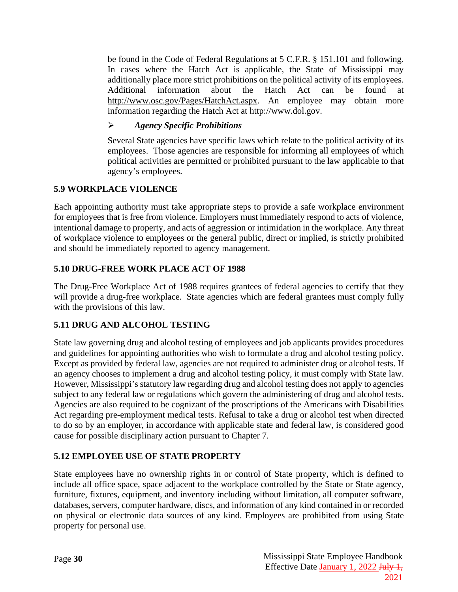be found in the Code of Federal Regulations at 5 C.F.R. § 151.101 and following. In cases where the Hatch Act is applicable, the State of Mississippi may additionally place more strict prohibitions on the political activity of its employees. Additional information about the Hatch Act can be found at [http://www.osc.gov/Pages/HatchAct.aspx.](http://www.osc.gov/Pages/HatchAct.aspx) An employee may obtain more information regarding the Hatch Act at [http://www.dol.gov.](http://www.dol.gov/)

### *Agency Specific Prohibitions*

Several State agencies have specific laws which relate to the political activity of its employees. Those agencies are responsible for informing all employees of which political activities are permitted or prohibited pursuant to the law applicable to that agency's employees.

### <span id="page-33-0"></span>**5.9 WORKPLACE VIOLENCE**

Each appointing authority must take appropriate steps to provide a safe workplace environment for employees that is free from violence. Employers must immediately respond to acts of violence, intentional damage to property, and acts of aggression or intimidation in the workplace. Any threat of workplace violence to employees or the general public, direct or implied, is strictly prohibited and should be immediately reported to agency management.

### <span id="page-33-1"></span>**5.10 DRUG-FREE WORK PLACE ACT OF 1988**

The Drug-Free Workplace Act of 1988 requires grantees of federal agencies to certify that they will provide a drug-free workplace. State agencies which are federal grantees must comply fully with the provisions of this law.

### <span id="page-33-2"></span>**5.11 DRUG AND ALCOHOL TESTING**

State law governing drug and alcohol testing of employees and job applicants provides procedures and guidelines for appointing authorities who wish to formulate a drug and alcohol testing policy. Except as provided by federal law, agencies are not required to administer drug or alcohol tests. If an agency chooses to implement a drug and alcohol testing policy, it must comply with State law. However, Mississippi's statutory law regarding drug and alcohol testing does not apply to agencies subject to any federal law or regulations which govern the administering of drug and alcohol tests. Agencies are also required to be cognizant of the proscriptions of the Americans with Disabilities Act regarding pre-employment medical tests. Refusal to take a drug or alcohol test when directed to do so by an employer, in accordance with applicable state and federal law, is considered good cause for possible disciplinary action pursuant to Chapter 7.

### <span id="page-33-3"></span>**5.12 EMPLOYEE USE OF STATE PROPERTY**

State employees have no ownership rights in or control of State property, which is defined to include all office space, space adjacent to the workplace controlled by the State or State agency, furniture, fixtures, equipment, and inventory including without limitation, all computer software, databases, servers, computer hardware, discs, and information of any kind contained in or recorded on physical or electronic data sources of any kind. Employees are prohibited from using State property for personal use.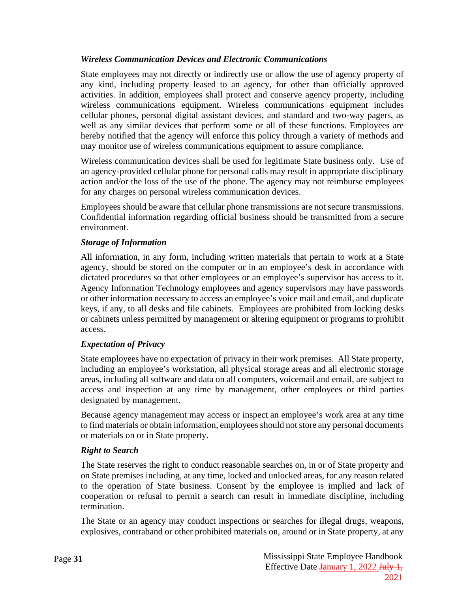### <span id="page-34-0"></span>*Wireless Communication Devices and Electronic Communications*

State employees may not directly or indirectly use or allow the use of agency property of any kind, including property leased to an agency, for other than officially approved activities. In addition, employees shall protect and conserve agency property, including wireless communications equipment. Wireless communications equipment includes cellular phones, personal digital assistant devices, and standard and two-way pagers, as well as any similar devices that perform some or all of these functions. Employees are hereby notified that the agency will enforce this policy through a variety of methods and may monitor use of wireless communications equipment to assure compliance.

Wireless communication devices shall be used for legitimate State business only. Use of an agency-provided cellular phone for personal calls may result in appropriate disciplinary action and/or the loss of the use of the phone. The agency may not reimburse employees for any charges on personal wireless communication devices.

Employees should be aware that cellular phone transmissions are not secure transmissions. Confidential information regarding official business should be transmitted from a secure environment.

### <span id="page-34-1"></span>*Storage of Information*

All information, in any form, including written materials that pertain to work at a State agency, should be stored on the computer or in an employee's desk in accordance with dictated procedures so that other employees or an employee's supervisor has access to it. Agency Information Technology employees and agency supervisors may have passwords or other information necessary to access an employee's voice mail and email, and duplicate keys, if any, to all desks and file cabinets. Employees are prohibited from locking desks or cabinets unless permitted by management or altering equipment or programs to prohibit access.

#### <span id="page-34-2"></span>*Expectation of Privacy*

State employees have no expectation of privacy in their work premises. All State property, including an employee's workstation, all physical storage areas and all electronic storage areas, including all software and data on all computers, voicemail and email, are subject to access and inspection at any time by management, other employees or third parties designated by management.

Because agency management may access or inspect an employee's work area at any time to find materials or obtain information, employees should not store any personal documents or materials on or in State property.

#### <span id="page-34-3"></span>*Right to Search*

The State reserves the right to conduct reasonable searches on, in or of State property and on State premises including, at any time, locked and unlocked areas, for any reason related to the operation of State business. Consent by the employee is implied and lack of cooperation or refusal to permit a search can result in immediate discipline, including termination.

The State or an agency may conduct inspections or searches for illegal drugs, weapons, explosives, contraband or other prohibited materials on, around or in State property, at any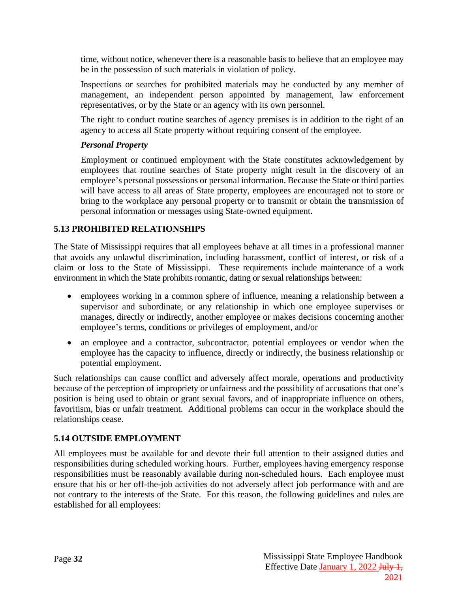time, without notice, whenever there is a reasonable basis to believe that an employee may be in the possession of such materials in violation of policy.

Inspections or searches for prohibited materials may be conducted by any member of management, an independent person appointed by management, law enforcement representatives, or by the State or an agency with its own personnel.

The right to conduct routine searches of agency premises is in addition to the right of an agency to access all State property without requiring consent of the employee.

#### <span id="page-35-0"></span>*Personal Property*

Employment or continued employment with the State constitutes acknowledgement by employees that routine searches of State property might result in the discovery of an employee's personal possessions or personal information. Because the State or third parties will have access to all areas of State property, employees are encouraged not to store or bring to the workplace any personal property or to transmit or obtain the transmission of personal information or messages using State-owned equipment.

### <span id="page-35-1"></span>**5.13 PROHIBITED RELATIONSHIPS**

The State of Mississippi requires that all employees behave at all times in a professional manner that avoids any unlawful discrimination, including harassment, conflict of interest, or risk of a claim or loss to the State of Mississippi. These requirements include maintenance of a work environment in which the State prohibits romantic, dating or sexual relationships between:

- employees working in a common sphere of influence, meaning a relationship between a supervisor and subordinate, or any relationship in which one employee supervises or manages, directly or indirectly, another employee or makes decisions concerning another employee's terms, conditions or privileges of employment, and/or
- an employee and a contractor, subcontractor, potential employees or vendor when the employee has the capacity to influence, directly or indirectly, the business relationship or potential employment.

Such relationships can cause conflict and adversely affect morale, operations and productivity because of the perception of impropriety or unfairness and the possibility of accusations that one's position is being used to obtain or grant sexual favors, and of inappropriate influence on others, favoritism, bias or unfair treatment. Additional problems can occur in the workplace should the relationships cease.

### <span id="page-35-2"></span>**5.14 OUTSIDE EMPLOYMENT**

All employees must be available for and devote their full attention to their assigned duties and responsibilities during scheduled working hours. Further, employees having emergency response responsibilities must be reasonably available during non-scheduled hours. Each employee must ensure that his or her off-the-job activities do not adversely affect job performance with and are not contrary to the interests of the State. For this reason, the following guidelines and rules are established for all employees: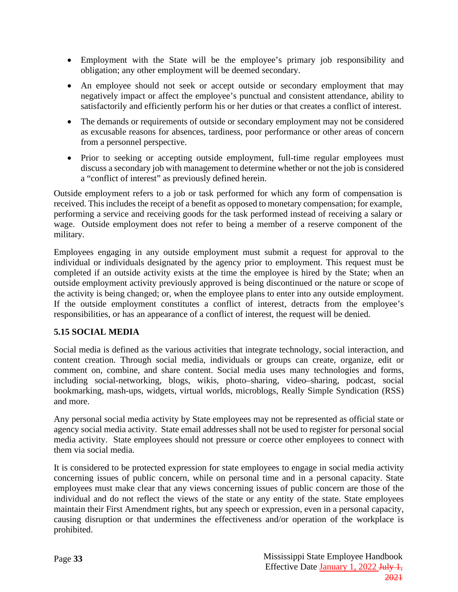- Employment with the State will be the employee's primary job responsibility and obligation; any other employment will be deemed secondary.
- An employee should not seek or accept outside or secondary employment that may negatively impact or affect the employee's punctual and consistent attendance, ability to satisfactorily and efficiently perform his or her duties or that creates a conflict of interest.
- The demands or requirements of outside or secondary employment may not be considered as excusable reasons for absences, tardiness, poor performance or other areas of concern from a personnel perspective.
- Prior to seeking or accepting outside employment, full-time regular employees must discuss a secondary job with management to determine whether or not the job is considered a "conflict of interest" as previously defined herein.

Outside employment refers to a job or task performed for which any form of compensation is received. This includes the receipt of a benefit as opposed to monetary compensation; for example, performing a service and receiving goods for the task performed instead of receiving a salary or wage. Outside employment does not refer to being a member of a reserve component of the military.

Employees engaging in any outside employment must submit a request for approval to the individual or individuals designated by the agency prior to employment. This request must be completed if an outside activity exists at the time the employee is hired by the State; when an outside employment activity previously approved is being discontinued or the nature or scope of the activity is being changed; or, when the employee plans to enter into any outside employment. If the outside employment constitutes a conflict of interest, detracts from the employee's responsibilities, or has an appearance of a conflict of interest, the request will be denied.

### <span id="page-36-0"></span>**5.15 SOCIAL MEDIA**

Social media is defined as the various activities that integrate technology, social interaction, and content creation. Through social media, individuals or groups can create, organize, edit or comment on, combine, and share content. Social media uses many technologies and forms, including social-networking, blogs, wikis, photo–sharing, video–sharing, podcast, social bookmarking, mash-ups, widgets, virtual worlds, microblogs, Really Simple Syndication (RSS) and more.

Any personal social media activity by State employees may not be represented as official state or agency social media activity. State email addresses shall not be used to register for personal social media activity. State employees should not pressure or coerce other employees to connect with them via social media.

It is considered to be protected expression for state employees to engage in social media activity concerning issues of public concern, while on personal time and in a personal capacity. State employees must make clear that any views concerning issues of public concern are those of the individual and do not reflect the views of the state or any entity of the state. State employees maintain their First Amendment rights, but any speech or expression, even in a personal capacity, causing disruption or that undermines the effectiveness and/or operation of the workplace is prohibited.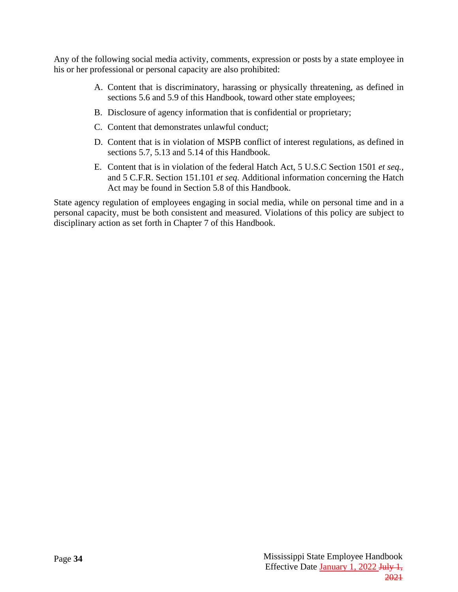Any of the following social media activity, comments, expression or posts by a state employee in his or her professional or personal capacity are also prohibited:

- A. Content that is discriminatory, harassing or physically threatening, as defined in sections 5.6 and 5.9 of this Handbook, toward other state employees;
- B. Disclosure of agency information that is confidential or proprietary;
- C. Content that demonstrates unlawful conduct;
- D. Content that is in violation of MSPB conflict of interest regulations, as defined in sections 5.7, 5.13 and 5.14 of this Handbook.
- E. Content that is in violation of the federal Hatch Act, 5 U.S.C Section 1501 *et seq.,* and 5 C.F.R. Section 151.101 *et seq*. Additional information concerning the Hatch Act may be found in Section 5.8 of this Handbook.

State agency regulation of employees engaging in social media, while on personal time and in a personal capacity, must be both consistent and measured. Violations of this policy are subject to disciplinary action as set forth in Chapter 7 of this Handbook.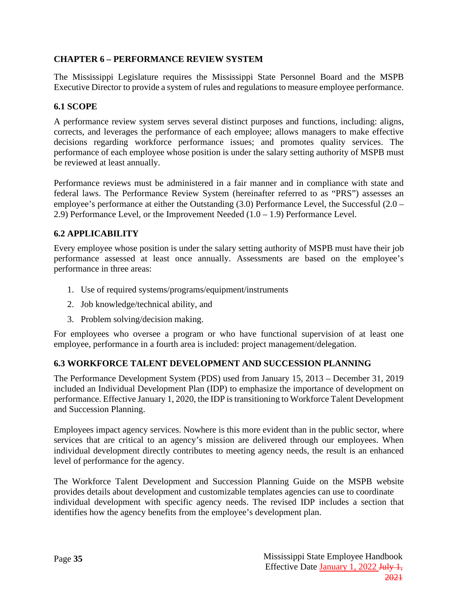### <span id="page-38-0"></span>**CHAPTER 6 – PERFORMANCE REVIEW SYSTEM**

The Mississippi Legislature requires the Mississippi State Personnel Board and the MSPB Executive Director to provide a system of rules and regulations to measure employee performance.

### <span id="page-38-1"></span>**6.1 SCOPE**

A performance review system serves several distinct purposes and functions, including: aligns, corrects, and leverages the performance of each employee; allows managers to make effective decisions regarding workforce performance issues; and promotes quality services. The performance of each employee whose position is under the salary setting authority of MSPB must be reviewed at least annually.

Performance reviews must be administered in a fair manner and in compliance with state and federal laws. The Performance Review System (hereinafter referred to as "PRS") assesses an employee's performance at either the Outstanding (3.0) Performance Level, the Successful (2.0 – 2.9) Performance Level, or the Improvement Needed  $(1.0 - 1.9)$  Performance Level.

### <span id="page-38-2"></span>**6.2 APPLICABILITY**

Every employee whose position is under the salary setting authority of MSPB must have their job performance assessed at least once annually. Assessments are based on the employee's performance in three areas:

- 1. Use of required systems/programs/equipment/instruments
- 2. Job knowledge/technical ability, and
- 3. Problem solving/decision making.

For employees who oversee a program or who have functional supervision of at least one employee, performance in a fourth area is included: project management/delegation.

#### <span id="page-38-3"></span>**6.3 WORKFORCE TALENT DEVELOPMENT AND SUCCESSION PLANNING**

The Performance Development System (PDS) used from January 15, 2013 – December 31, 2019 included an Individual Development Plan (IDP) to emphasize the importance of development on performance. Effective January 1, 2020, the IDP is transitioning to Workforce Talent Development and Succession Planning.

Employees impact agency services. Nowhere is this more evident than in the public sector, where services that are critical to an agency's mission are delivered through our employees. When individual development directly contributes to meeting agency needs, the result is an enhanced level of performance for the agency.

The Workforce Talent Development and Succession Planning Guide on the MSPB website provides details about development and customizable templates agencies can use to coordinate individual development with specific agency needs. The revised IDP includes a section that identifies how the agency benefits from the employee's development plan.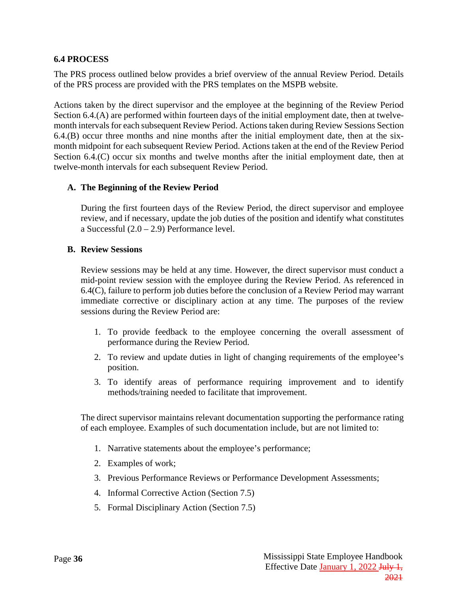### <span id="page-39-0"></span>**6.4 PROCESS**

The PRS process outlined below provides a brief overview of the annual Review Period. Details of the PRS process are provided with the PRS templates on the MSPB website.

Actions taken by the direct supervisor and the employee at the beginning of the Review Period Section 6.4.(A) are performed within fourteen days of the initial employment date, then at twelvemonth intervals for each subsequent Review Period. Actions taken during Review Sessions Section 6.4.(B) occur three months and nine months after the initial employment date, then at the sixmonth midpoint for each subsequent Review Period. Actions taken at the end of the Review Period Section 6.4.(C) occur six months and twelve months after the initial employment date, then at twelve-month intervals for each subsequent Review Period.

#### **A. The Beginning of the Review Period**

During the first fourteen days of the Review Period, the direct supervisor and employee review, and if necessary, update the job duties of the position and identify what constitutes a Successful (2.0 – 2.9) Performance level.

#### **B. Review Sessions**

Review sessions may be held at any time. However, the direct supervisor must conduct a mid-point review session with the employee during the Review Period. As referenced in 6.4(C), failure to perform job duties before the conclusion of a Review Period may warrant immediate corrective or disciplinary action at any time. The purposes of the review sessions during the Review Period are:

- 1. To provide feedback to the employee concerning the overall assessment of performance during the Review Period.
- 2. To review and update duties in light of changing requirements of the employee's position.
- 3. To identify areas of performance requiring improvement and to identify methods/training needed to facilitate that improvement.

The direct supervisor maintains relevant documentation supporting the performance rating of each employee. Examples of such documentation include, but are not limited to:

- 1. Narrative statements about the employee's performance;
- 2. Examples of work;
- 3. Previous Performance Reviews or Performance Development Assessments;
- 4. Informal Corrective Action (Section 7.5)
- 5. Formal Disciplinary Action (Section 7.5)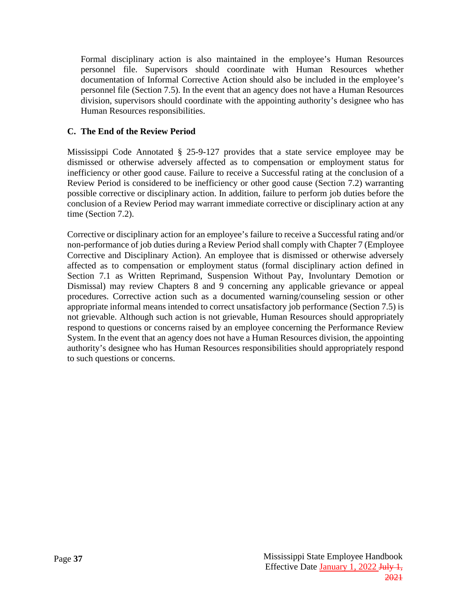Formal disciplinary action is also maintained in the employee's Human Resources personnel file. Supervisors should coordinate with Human Resources whether documentation of Informal Corrective Action should also be included in the employee's personnel file (Section 7.5). In the event that an agency does not have a Human Resources division, supervisors should coordinate with the appointing authority's designee who has Human Resources responsibilities.

### **C. The End of the Review Period**

Mississippi Code Annotated § 25-9-127 provides that a state service employee may be dismissed or otherwise adversely affected as to compensation or employment status for inefficiency or other good cause. Failure to receive a Successful rating at the conclusion of a Review Period is considered to be inefficiency or other good cause (Section 7.2) warranting possible corrective or disciplinary action. In addition, failure to perform job duties before the conclusion of a Review Period may warrant immediate corrective or disciplinary action at any time (Section 7.2).

Corrective or disciplinary action for an employee's failure to receive a Successful rating and/or non-performance of job duties during a Review Period shall comply with Chapter 7 (Employee Corrective and Disciplinary Action). An employee that is dismissed or otherwise adversely affected as to compensation or employment status (formal disciplinary action defined in Section 7.1 as Written Reprimand, Suspension Without Pay, Involuntary Demotion or Dismissal) may review Chapters 8 and 9 concerning any applicable grievance or appeal procedures. Corrective action such as a documented warning/counseling session or other appropriate informal means intended to correct unsatisfactory job performance (Section 7.5) is not grievable. Although such action is not grievable, Human Resources should appropriately respond to questions or concerns raised by an employee concerning the Performance Review System. In the event that an agency does not have a Human Resources division, the appointing authority's designee who has Human Resources responsibilities should appropriately respond to such questions or concerns.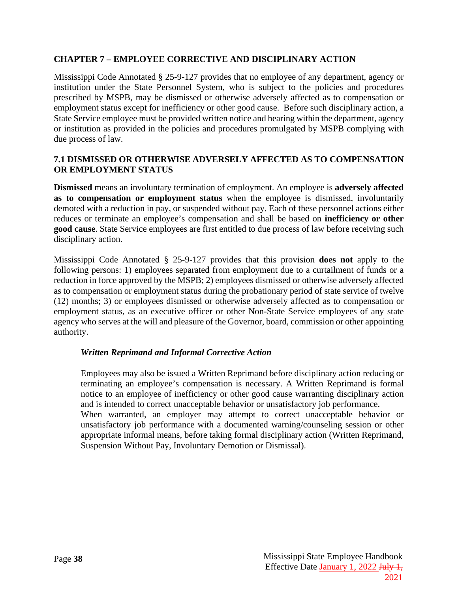#### <span id="page-41-0"></span>**CHAPTER 7 – EMPLOYEE CORRECTIVE AND DISCIPLINARY ACTION**

Mississippi Code Annotated § 25-9-127 provides that no employee of any department, agency or institution under the State Personnel System, who is subject to the policies and procedures prescribed by MSPB, may be dismissed or otherwise adversely affected as to compensation or employment status except for inefficiency or other good cause. Before such disciplinary action, a State Service employee must be provided written notice and hearing within the department, agency or institution as provided in the policies and procedures promulgated by MSPB complying with due process of law.

#### <span id="page-41-1"></span>**7.1 DISMISSED OR OTHERWISE ADVERSELY AFFECTED AS TO COMPENSATION OR EMPLOYMENT STATUS**

**Dismissed** means an involuntary termination of employment. An employee is **adversely affected as to compensation or employment status** when the employee is dismissed, involuntarily demoted with a reduction in pay, or suspended without pay. Each of these personnel actions either reduces or terminate an employee's compensation and shall be based on **inefficiency or other good cause**. State Service employees are first entitled to due process of law before receiving such disciplinary action.

Mississippi Code Annotated § 25-9-127 provides that this provision **does not** apply to the following persons: 1) employees separated from employment due to a curtailment of funds or a reduction in force approved by the MSPB; 2) employees dismissed or otherwise adversely affected as to compensation or employment status during the probationary period of state service of twelve (12) months; 3) or employees dismissed or otherwise adversely affected as to compensation or employment status, as an executive officer or other Non-State Service employees of any state agency who serves at the will and pleasure of the Governor, board, commission or other appointing authority.

#### <span id="page-41-2"></span>*Written Reprimand and Informal Corrective Action*

Employees may also be issued a Written Reprimand before disciplinary action reducing or terminating an employee's compensation is necessary. A Written Reprimand is formal notice to an employee of inefficiency or other good cause warranting disciplinary action and is intended to correct unacceptable behavior or unsatisfactory job performance.

When warranted, an employer may attempt to correct unacceptable behavior or unsatisfactory job performance with a documented warning/counseling session or other appropriate informal means, before taking formal disciplinary action (Written Reprimand, Suspension Without Pay, Involuntary Demotion or Dismissal).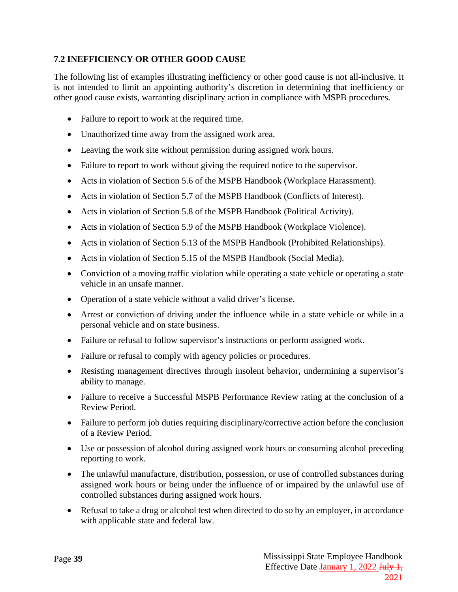### <span id="page-42-0"></span>**7.2 INEFFICIENCY OR OTHER GOOD CAUSE**

The following list of examples illustrating inefficiency or other good cause is not all-inclusive. It is not intended to limit an appointing authority's discretion in determining that inefficiency or other good cause exists, warranting disciplinary action in compliance with MSPB procedures.

- Failure to report to work at the required time.
- Unauthorized time away from the assigned work area.
- Leaving the work site without permission during assigned work hours.
- Failure to report to work without giving the required notice to the supervisor.
- Acts in violation of Section 5.6 of the MSPB Handbook (Workplace Harassment).
- Acts in violation of Section 5.7 of the MSPB Handbook (Conflicts of Interest).
- Acts in violation of Section 5.8 of the MSPB Handbook (Political Activity).
- Acts in violation of Section 5.9 of the MSPB Handbook (Workplace Violence).
- Acts in violation of Section 5.13 of the MSPB Handbook (Prohibited Relationships).
- Acts in violation of Section 5.15 of the MSPB Handbook (Social Media).
- Conviction of a moving traffic violation while operating a state vehicle or operating a state vehicle in an unsafe manner.
- Operation of a state vehicle without a valid driver's license.
- Arrest or conviction of driving under the influence while in a state vehicle or while in a personal vehicle and on state business.
- Failure or refusal to follow supervisor's instructions or perform assigned work.
- Failure or refusal to comply with agency policies or procedures.
- Resisting management directives through insolent behavior, undermining a supervisor's ability to manage.
- Failure to receive a Successful MSPB Performance Review rating at the conclusion of a Review Period.
- Failure to perform job duties requiring disciplinary/corrective action before the conclusion of a Review Period.
- Use or possession of alcohol during assigned work hours or consuming alcohol preceding reporting to work.
- The unlawful manufacture, distribution, possession, or use of controlled substances during assigned work hours or being under the influence of or impaired by the unlawful use of controlled substances during assigned work hours.
- Refusal to take a drug or alcohol test when directed to do so by an employer, in accordance with applicable state and federal law.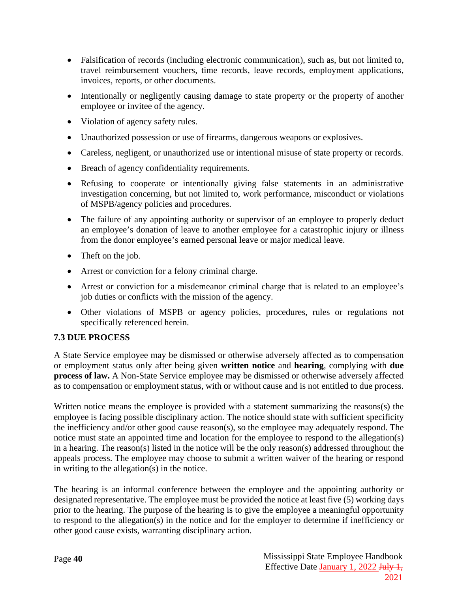- Falsification of records (including electronic communication), such as, but not limited to, travel reimbursement vouchers, time records, leave records, employment applications, invoices, reports, or other documents.
- Intentionally or negligently causing damage to state property or the property of another employee or invitee of the agency.
- Violation of agency safety rules.
- Unauthorized possession or use of firearms, dangerous weapons or explosives.
- Careless, negligent, or unauthorized use or intentional misuse of state property or records.
- Breach of agency confidentiality requirements.
- Refusing to cooperate or intentionally giving false statements in an administrative investigation concerning, but not limited to, work performance, misconduct or violations of MSPB/agency policies and procedures.
- The failure of any appointing authority or supervisor of an employee to properly deduct an employee's donation of leave to another employee for a catastrophic injury or illness from the donor employee's earned personal leave or major medical leave.
- Theft on the job.
- Arrest or conviction for a felony criminal charge.
- Arrest or conviction for a misdemeanor criminal charge that is related to an employee's job duties or conflicts with the mission of the agency.
- Other violations of MSPB or agency policies, procedures, rules or regulations not specifically referenced herein.

### <span id="page-43-0"></span>**7.3 DUE PROCESS**

A State Service employee may be dismissed or otherwise adversely affected as to compensation or employment status only after being given **written notice** and **hearing**, complying with **due process of law.** A Non-State Service employee may be dismissed or otherwise adversely affected as to compensation or employment status, with or without cause and is not entitled to due process.

Written notice means the employee is provided with a statement summarizing the reasons(s) the employee is facing possible disciplinary action. The notice should state with sufficient specificity the inefficiency and/or other good cause reason(s), so the employee may adequately respond. The notice must state an appointed time and location for the employee to respond to the allegation(s) in a hearing. The reason(s) listed in the notice will be the only reason(s) addressed throughout the appeals process. The employee may choose to submit a written waiver of the hearing or respond in writing to the allegation(s) in the notice.

The hearing is an informal conference between the employee and the appointing authority or designated representative. The employee must be provided the notice at least five (5) working days prior to the hearing. The purpose of the hearing is to give the employee a meaningful opportunity to respond to the allegation(s) in the notice and for the employer to determine if inefficiency or other good cause exists, warranting disciplinary action.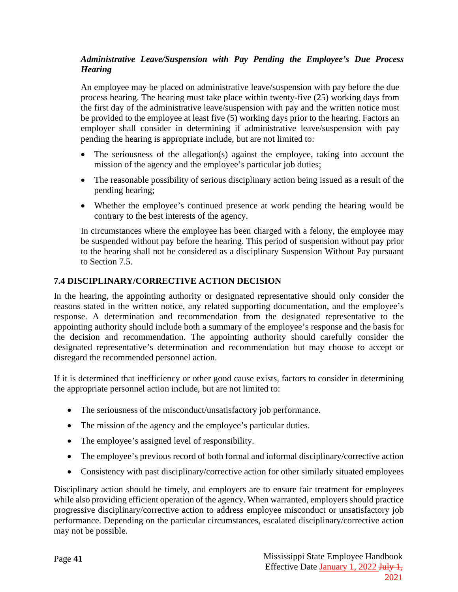### <span id="page-44-0"></span>*Administrative Leave/Suspension with Pay Pending the Employee's Due Process Hearing*

An employee may be placed on administrative leave/suspension with pay before the due process hearing. The hearing must take place within twenty-five (25) working days from the first day of the administrative leave/suspension with pay and the written notice must be provided to the employee at least five (5) working days prior to the hearing. Factors an employer shall consider in determining if administrative leave/suspension with pay pending the hearing is appropriate include, but are not limited to:

- The seriousness of the allegation(s) against the employee, taking into account the mission of the agency and the employee's particular job duties;
- The reasonable possibility of serious disciplinary action being issued as a result of the pending hearing;
- Whether the employee's continued presence at work pending the hearing would be contrary to the best interests of the agency.

In circumstances where the employee has been charged with a felony, the employee may be suspended without pay before the hearing. This period of suspension without pay prior to the hearing shall not be considered as a disciplinary Suspension Without Pay pursuant to Section 7.5.

### <span id="page-44-1"></span>**7.4 DISCIPLINARY/CORRECTIVE ACTION DECISION**

In the hearing, the appointing authority or designated representative should only consider the reasons stated in the written notice, any related supporting documentation, and the employee's response. A determination and recommendation from the designated representative to the appointing authority should include both a summary of the employee's response and the basis for the decision and recommendation. The appointing authority should carefully consider the designated representative's determination and recommendation but may choose to accept or disregard the recommended personnel action.

If it is determined that inefficiency or other good cause exists, factors to consider in determining the appropriate personnel action include, but are not limited to:

- The seriousness of the misconduct/unsatisfactory job performance.
- The mission of the agency and the employee's particular duties.
- The employee's assigned level of responsibility.
- The employee's previous record of both formal and informal disciplinary/corrective action
- Consistency with past disciplinary/corrective action for other similarly situated employees

Disciplinary action should be timely, and employers are to ensure fair treatment for employees while also providing efficient operation of the agency. When warranted, employers should practice progressive disciplinary/corrective action to address employee misconduct or unsatisfactory job performance. Depending on the particular circumstances, escalated disciplinary/corrective action may not be possible.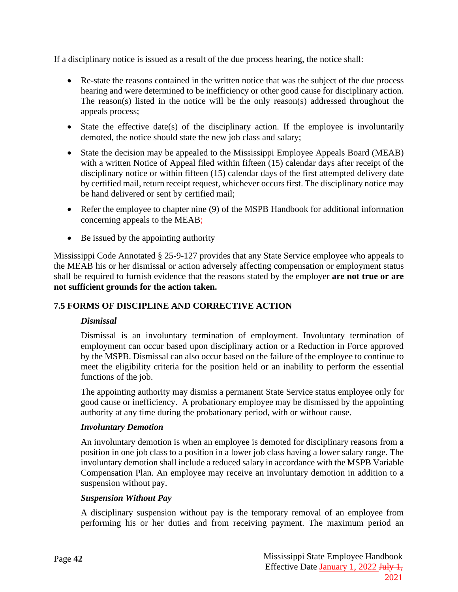If a disciplinary notice is issued as a result of the due process hearing, the notice shall:

- Re-state the reasons contained in the written notice that was the subject of the due process hearing and were determined to be inefficiency or other good cause for disciplinary action. The reason(s) listed in the notice will be the only reason(s) addressed throughout the appeals process;
- State the effective date(s) of the disciplinary action. If the employee is involuntarily demoted, the notice should state the new job class and salary;
- State the decision may be appealed to the Mississippi Employee Appeals Board (MEAB) with a written Notice of Appeal filed within fifteen (15) calendar days after receipt of the disciplinary notice or within fifteen (15) calendar days of the first attempted delivery date by certified mail, return receipt request, whichever occurs first. The disciplinary notice may be hand delivered or sent by certified mail;
- Refer the employee to chapter nine (9) of the MSPB Handbook for additional information concerning appeals to the MEAB;
- Be issued by the appointing authority

Mississippi Code Annotated § 25-9-127 provides that any State Service employee who appeals to the MEAB his or her dismissal or action adversely affecting compensation or employment status shall be required to furnish evidence that the reasons stated by the employer **are not true or are not sufficient grounds for the action taken.**

#### <span id="page-45-1"></span><span id="page-45-0"></span>**7.5 FORMS OF DISCIPLINE AND CORRECTIVE ACTION**

#### *Dismissal*

Dismissal is an involuntary termination of employment. Involuntary termination of employment can occur based upon disciplinary action or a Reduction in Force approved by the MSPB. Dismissal can also occur based on the failure of the employee to continue to meet the eligibility criteria for the position held or an inability to perform the essential functions of the job.

The appointing authority may dismiss a permanent State Service status employee only for good cause or inefficiency. A probationary employee may be dismissed by the appointing authority at any time during the probationary period, with or without cause.

#### <span id="page-45-2"></span>*Involuntary Demotion*

An involuntary demotion is when an employee is demoted for disciplinary reasons from a position in one job class to a position in a lower job class having a lower salary range. The involuntary demotion shall include a reduced salary in accordance with the MSPB Variable Compensation Plan. An employee may receive an involuntary demotion in addition to a suspension without pay.

#### <span id="page-45-3"></span>*Suspension Without Pay*

A disciplinary suspension without pay is the temporary removal of an employee from performing his or her duties and from receiving payment. The maximum period an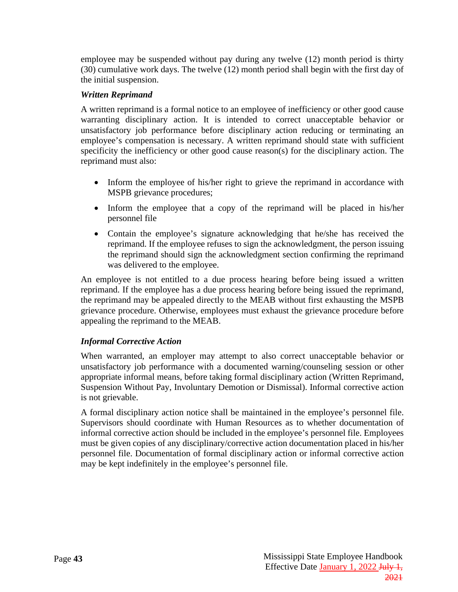employee may be suspended without pay during any twelve (12) month period is thirty (30) cumulative work days. The twelve (12) month period shall begin with the first day of the initial suspension.

### <span id="page-46-0"></span>*Written Reprimand*

A written reprimand is a formal notice to an employee of inefficiency or other good cause warranting disciplinary action. It is intended to correct unacceptable behavior or unsatisfactory job performance before disciplinary action reducing or terminating an employee's compensation is necessary. A written reprimand should state with sufficient specificity the inefficiency or other good cause reason(s) for the disciplinary action. The reprimand must also:

- Inform the employee of his/her right to grieve the reprimand in accordance with MSPB grievance procedures;
- Inform the employee that a copy of the reprimand will be placed in his/her personnel file
- Contain the employee's signature acknowledging that he/she has received the reprimand. If the employee refuses to sign the acknowledgment, the person issuing the reprimand should sign the acknowledgment section confirming the reprimand was delivered to the employee.

An employee is not entitled to a due process hearing before being issued a written reprimand. If the employee has a due process hearing before being issued the reprimand, the reprimand may be appealed directly to the MEAB without first exhausting the MSPB grievance procedure. Otherwise, employees must exhaust the grievance procedure before appealing the reprimand to the MEAB.

#### <span id="page-46-1"></span>*Informal Corrective Action*

When warranted, an employer may attempt to also correct unacceptable behavior or unsatisfactory job performance with a documented warning/counseling session or other appropriate informal means, before taking formal disciplinary action (Written Reprimand, Suspension Without Pay, Involuntary Demotion or Dismissal). Informal corrective action is not grievable.

A formal disciplinary action notice shall be maintained in the employee's personnel file. Supervisors should coordinate with Human Resources as to whether documentation of informal corrective action should be included in the employee's personnel file. Employees must be given copies of any disciplinary/corrective action documentation placed in his/her personnel file. Documentation of formal disciplinary action or informal corrective action may be kept indefinitely in the employee's personnel file.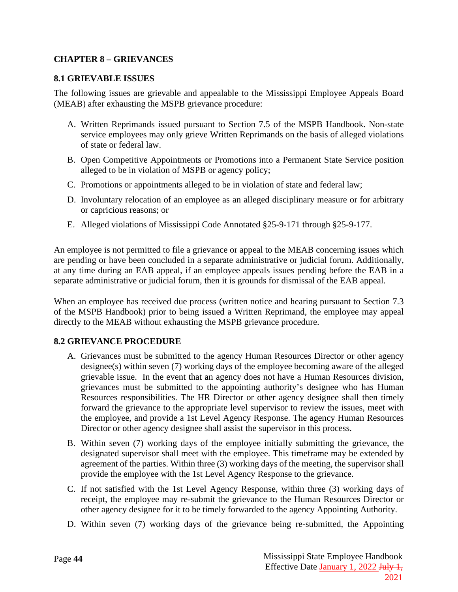### <span id="page-47-0"></span>**CHAPTER 8 – GRIEVANCES**

#### <span id="page-47-1"></span>**8.1 GRIEVABLE ISSUES**

The following issues are grievable and appealable to the Mississippi Employee Appeals Board (MEAB) after exhausting the MSPB grievance procedure:

- A. Written Reprimands issued pursuant to Section 7.5 of the MSPB Handbook. Non-state service employees may only grieve Written Reprimands on the basis of alleged violations of state or federal law.
- B. Open Competitive Appointments or Promotions into a Permanent State Service position alleged to be in violation of MSPB or agency policy;
- C. Promotions or appointments alleged to be in violation of state and federal law;
- D. Involuntary relocation of an employee as an alleged disciplinary measure or for arbitrary or capricious reasons; or
- E. Alleged violations of Mississippi Code Annotated §25-9-171 through §25-9-177.

An employee is not permitted to file a grievance or appeal to the MEAB concerning issues which are pending or have been concluded in a separate administrative or judicial forum. Additionally, at any time during an EAB appeal, if an employee appeals issues pending before the EAB in a separate administrative or judicial forum, then it is grounds for dismissal of the EAB appeal.

When an employee has received due process (written notice and hearing pursuant to Section 7.3 of the MSPB Handbook) prior to being issued a Written Reprimand, the employee may appeal directly to the MEAB without exhausting the MSPB grievance procedure.

#### <span id="page-47-2"></span>**8.2 GRIEVANCE PROCEDURE**

- A. Grievances must be submitted to the agency Human Resources Director or other agency designee(s) within seven (7) working days of the employee becoming aware of the alleged grievable issue. In the event that an agency does not have a Human Resources division, grievances must be submitted to the appointing authority's designee who has Human Resources responsibilities. The HR Director or other agency designee shall then timely forward the grievance to the appropriate level supervisor to review the issues, meet with the employee, and provide a 1st Level Agency Response. The agency Human Resources Director or other agency designee shall assist the supervisor in this process.
- B. Within seven (7) working days of the employee initially submitting the grievance, the designated supervisor shall meet with the employee. This timeframe may be extended by agreement of the parties. Within three (3) working days of the meeting, the supervisor shall provide the employee with the 1st Level Agency Response to the grievance.
- C. If not satisfied with the 1st Level Agency Response, within three (3) working days of receipt, the employee may re-submit the grievance to the Human Resources Director or other agency designee for it to be timely forwarded to the agency Appointing Authority.
- D. Within seven (7) working days of the grievance being re-submitted, the Appointing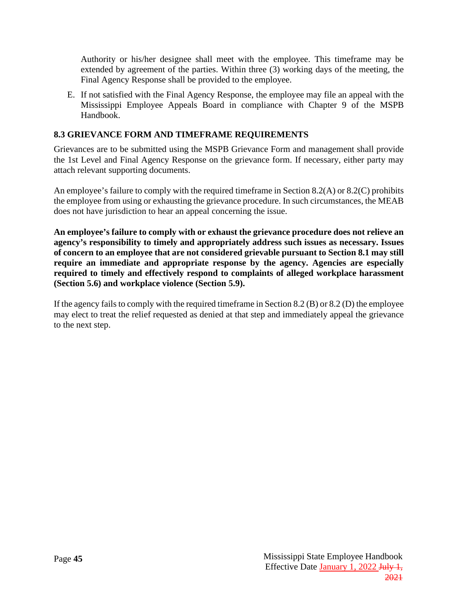Authority or his/her designee shall meet with the employee. This timeframe may be extended by agreement of the parties. Within three (3) working days of the meeting, the Final Agency Response shall be provided to the employee.

E. If not satisfied with the Final Agency Response, the employee may file an appeal with the Mississippi Employee Appeals Board in compliance with Chapter 9 of the MSPB Handbook.

### <span id="page-48-0"></span>**8.3 GRIEVANCE FORM AND TIMEFRAME REQUIREMENTS**

Grievances are to be submitted using the MSPB Grievance Form and management shall provide the 1st Level and Final Agency Response on the grievance form. If necessary, either party may attach relevant supporting documents.

An employee's failure to comply with the required timeframe in Section 8.2(A) or 8.2(C) prohibits the employee from using or exhausting the grievance procedure. In such circumstances, the MEAB does not have jurisdiction to hear an appeal concerning the issue.

**An employee's failure to comply with or exhaust the grievance procedure does not relieve an agency's responsibility to timely and appropriately address such issues as necessary. Issues of concern to an employee that are not considered grievable pursuant to Section 8.1 may still require an immediate and appropriate response by the agency. Agencies are especially required to timely and effectively respond to complaints of alleged workplace harassment (Section 5.6) and workplace violence (Section 5.9).**

If the agency fails to comply with the required timeframe in Section 8.2 (B) or 8.2 (D) the employee may elect to treat the relief requested as denied at that step and immediately appeal the grievance to the next step.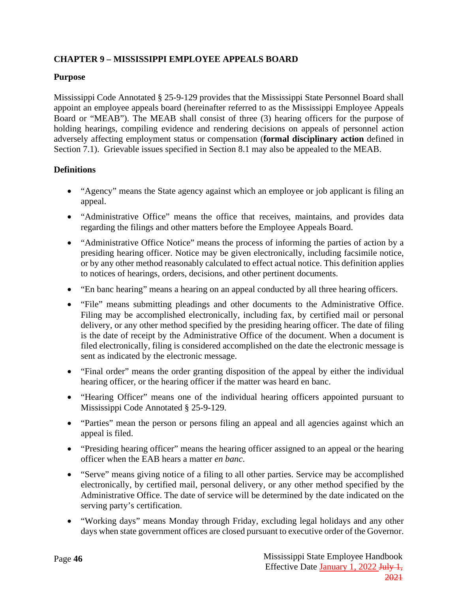# <span id="page-49-0"></span>**CHAPTER 9 – MISSISSIPPI EMPLOYEE APPEALS BOARD**

### **Purpose**

Mississippi Code Annotated § 25-9-129 provides that the Mississippi State Personnel Board shall appoint an employee appeals board (hereinafter referred to as the Mississippi Employee Appeals Board or "MEAB"). The MEAB shall consist of three (3) hearing officers for the purpose of holding hearings, compiling evidence and rendering decisions on appeals of personnel action adversely affecting employment status or compensation (**formal disciplinary action** defined in Section 7.1). Grievable issues specified in Section 8.1 may also be appealed to the MEAB.

### **Definitions**

- "Agency" means the State agency against which an employee or job applicant is filing an appeal.
- "Administrative Office" means the office that receives, maintains, and provides data regarding the filings and other matters before the Employee Appeals Board.
- "Administrative Office Notice" means the process of informing the parties of action by a presiding hearing officer. Notice may be given electronically, including facsimile notice, or by any other method reasonably calculated to effect actual notice. This definition applies to notices of hearings, orders, decisions, and other pertinent documents.
- "En banc hearing" means a hearing on an appeal conducted by all three hearing officers.
- "File" means submitting pleadings and other documents to the Administrative Office. Filing may be accomplished electronically, including fax, by certified mail or personal delivery, or any other method specified by the presiding hearing officer. The date of filing is the date of receipt by the Administrative Office of the document. When a document is filed electronically, filing is considered accomplished on the date the electronic message is sent as indicated by the electronic message.
- "Final order" means the order granting disposition of the appeal by either the individual hearing officer, or the hearing officer if the matter was heard en banc.
- "Hearing Officer" means one of the individual hearing officers appointed pursuant to Mississippi Code Annotated § 25-9-129.
- "Parties" mean the person or persons filing an appeal and all agencies against which an appeal is filed.
- "Presiding hearing officer" means the hearing officer assigned to an appeal or the hearing officer when the EAB hears a matter *en banc*.
- "Serve" means giving notice of a filing to all other parties. Service may be accomplished electronically, by certified mail, personal delivery, or any other method specified by the Administrative Office. The date of service will be determined by the date indicated on the serving party's certification.
- "Working days" means Monday through Friday, excluding legal holidays and any other days when state government offices are closed pursuant to executive order of the Governor.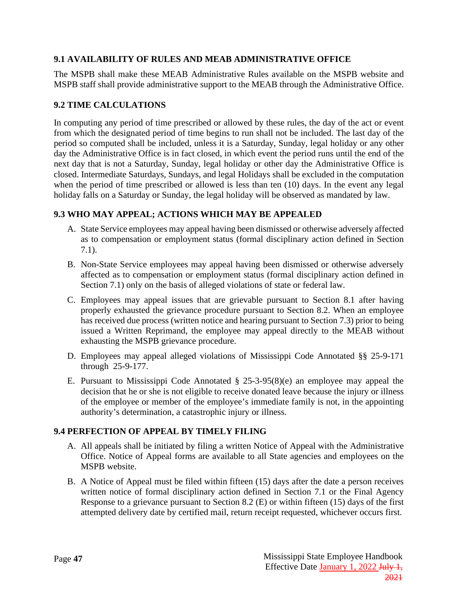### <span id="page-50-0"></span>**9.1 AVAILABILITY OF RULES AND MEAB ADMINISTRATIVE OFFICE**

The MSPB shall make these MEAB Administrative Rules available on the MSPB website and MSPB staff shall provide administrative support to the MEAB through the Administrative Office.

### <span id="page-50-1"></span>**9.2 TIME CALCULATIONS**

In computing any period of time prescribed or allowed by these rules, the day of the act or event from which the designated period of time begins to run shall not be included. The last day of the period so computed shall be included, unless it is a Saturday, Sunday, legal holiday or any other day the Administrative Office is in fact closed, in which event the period runs until the end of the next day that is not a Saturday, Sunday, legal holiday or other day the Administrative Office is closed. Intermediate Saturdays, Sundays, and legal Holidays shall be excluded in the computation when the period of time prescribed or allowed is less than ten (10) days. In the event any legal holiday falls on a Saturday or Sunday, the legal holiday will be observed as mandated by law.

#### <span id="page-50-2"></span>**9.3 WHO MAY APPEAL; ACTIONS WHICH MAY BE APPEALED**

- A. State Service employees may appeal having been dismissed or otherwise adversely affected as to compensation or employment status (formal disciplinary action defined in Section 7.1).
- B. Non-State Service employees may appeal having been dismissed or otherwise adversely affected as to compensation or employment status (formal disciplinary action defined in Section 7.1) only on the basis of alleged violations of state or federal law.
- C. Employees may appeal issues that are grievable pursuant to Section 8.1 after having properly exhausted the grievance procedure pursuant to Section 8.2. When an employee has received due process (written notice and hearing pursuant to Section 7.3) prior to being issued a Written Reprimand, the employee may appeal directly to the MEAB without exhausting the MSPB grievance procedure.
- D. Employees may appeal alleged violations of Mississippi Code Annotated §§ 25-9-171 through 25-9-177.
- E. Pursuant to Mississippi Code Annotated § 25-3-95(8)(e) an employee may appeal the decision that he or she is not eligible to receive donated leave because the injury or illness of the employee or member of the employee's immediate family is not, in the appointing authority's determination, a catastrophic injury or illness.

#### <span id="page-50-3"></span>**9.4 PERFECTION OF APPEAL BY TIMELY FILING**

- A. All appeals shall be initiated by filing a written Notice of Appeal with the Administrative Office. Notice of Appeal forms are available to all State agencies and employees on the MSPB website.
- B. A Notice of Appeal must be filed within fifteen (15) days after the date a person receives written notice of formal disciplinary action defined in Section 7.1 or the Final Agency Response to a grievance pursuant to Section 8.2 (E) or within fifteen (15) days of the first attempted delivery date by certified mail, return receipt requested, whichever occurs first.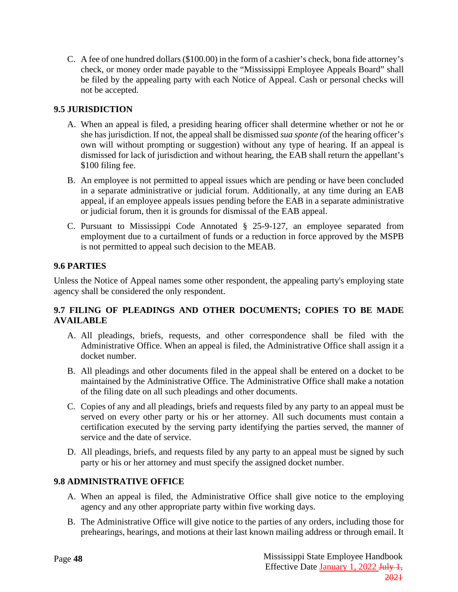C. A fee of one hundred dollars (\$100.00) in the form of a cashier's check, bona fide attorney's check, or money order made payable to the "Mississippi Employee Appeals Board" shall be filed by the appealing party with each Notice of Appeal. Cash or personal checks will not be accepted.

# <span id="page-51-0"></span>**9.5 JURISDICTION**

- A. When an appeal is filed, a presiding hearing officer shall determine whether or not he or she has jurisdiction. If not, the appeal shall be dismissed *sua sponte (*of the hearing officer's own will without prompting or suggestion) without any type of hearing. If an appeal is dismissed for lack of jurisdiction and without hearing, the EAB shall return the appellant's \$100 filing fee.
- B. An employee is not permitted to appeal issues which are pending or have been concluded in a separate administrative or judicial forum. Additionally, at any time during an EAB appeal, if an employee appeals issues pending before the EAB in a separate administrative or judicial forum, then it is grounds for dismissal of the EAB appeal.
- C. Pursuant to Mississippi Code Annotated § 25-9-127, an employee separated from employment due to a curtailment of funds or a reduction in force approved by the MSPB is not permitted to appeal such decision to the MEAB.

# <span id="page-51-1"></span>**9.6 PARTIES**

Unless the Notice of Appeal names some other respondent, the appealing party's employing state agency shall be considered the only respondent.

### <span id="page-51-2"></span>**9.7 FILING OF PLEADINGS AND OTHER DOCUMENTS; COPIES TO BE MADE AVAILABLE**

- A. All pleadings, briefs, requests, and other correspondence shall be filed with the Administrative Office. When an appeal is filed, the Administrative Office shall assign it a docket number.
- B. All pleadings and other documents filed in the appeal shall be entered on a docket to be maintained by the Administrative Office. The Administrative Office shall make a notation of the filing date on all such pleadings and other documents.
- C. Copies of any and all pleadings, briefs and requests filed by any party to an appeal must be served on every other party or his or her attorney. All such documents must contain a certification executed by the serving party identifying the parties served, the manner of service and the date of service.
- D. All pleadings, briefs, and requests filed by any party to an appeal must be signed by such party or his or her attorney and must specify the assigned docket number.

### <span id="page-51-3"></span>**9.8 ADMINISTRATIVE OFFICE**

- A. When an appeal is filed, the Administrative Office shall give notice to the employing agency and any other appropriate party within five working days.
- B. The Administrative Office will give notice to the parties of any orders, including those for prehearings, hearings, and motions at their last known mailing address or through email. It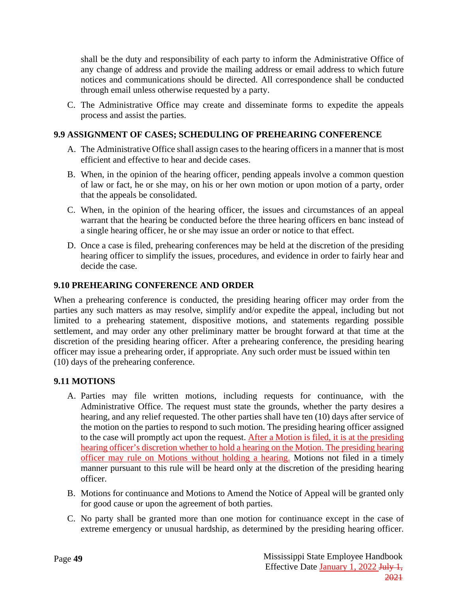shall be the duty and responsibility of each party to inform the Administrative Office of any change of address and provide the mailing address or email address to which future notices and communications should be directed. All correspondence shall be conducted through email unless otherwise requested by a party.

C. The Administrative Office may create and disseminate forms to expedite the appeals process and assist the parties.

### <span id="page-52-0"></span>**9.9 ASSIGNMENT OF CASES; SCHEDULING OF PREHEARING CONFERENCE**

- A. The Administrative Office shall assign cases to the hearing officers in a manner that is most efficient and effective to hear and decide cases.
- B. When, in the opinion of the hearing officer, pending appeals involve a common question of law or fact, he or she may, on his or her own motion or upon motion of a party, order that the appeals be consolidated.
- C. When, in the opinion of the hearing officer, the issues and circumstances of an appeal warrant that the hearing be conducted before the three hearing officers en banc instead of a single hearing officer, he or she may issue an order or notice to that effect.
- D. Once a case is filed, prehearing conferences may be held at the discretion of the presiding hearing officer to simplify the issues, procedures, and evidence in order to fairly hear and decide the case.

### <span id="page-52-1"></span>**9.10 PREHEARING CONFERENCE AND ORDER**

When a prehearing conference is conducted, the presiding hearing officer may order from the parties any such matters as may resolve, simplify and/or expedite the appeal, including but not limited to a prehearing statement, dispositive motions, and statements regarding possible settlement, and may order any other preliminary matter be brought forward at that time at the discretion of the presiding hearing officer. After a prehearing conference, the presiding hearing officer may issue a prehearing order, if appropriate. Any such order must be issued within ten (10) days of the prehearing conference.

#### <span id="page-52-2"></span>**9.11 MOTIONS**

- A. Parties may file written motions, including requests for continuance, with the Administrative Office. The request must state the grounds, whether the party desires a hearing, and any relief requested. The other parties shall have ten (10) days after service of the motion on the parties to respond to such motion. The presiding hearing officer assigned to the case will promptly act upon the request. After a Motion is filed, it is at the presiding hearing officer's discretion whether to hold a hearing on the Motion. The presiding hearing officer may rule on Motions without holding a hearing. Motions not filed in a timely manner pursuant to this rule will be heard only at the discretion of the presiding hearing officer.
- B. Motions for continuance and Motions to Amend the Notice of Appeal will be granted only for good cause or upon the agreement of both parties.
- C. No party shall be granted more than one motion for continuance except in the case of extreme emergency or unusual hardship, as determined by the presiding hearing officer.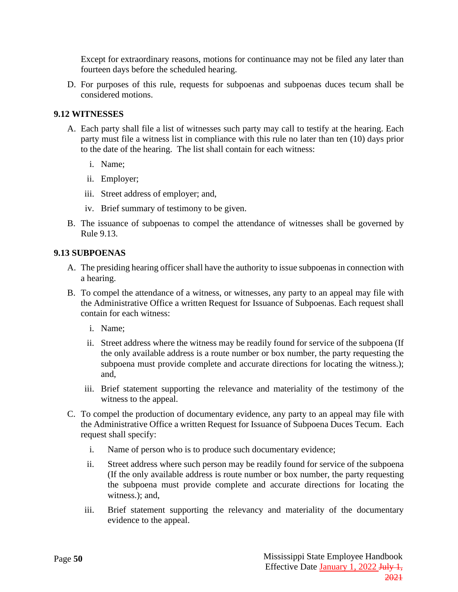Except for extraordinary reasons, motions for continuance may not be filed any later than fourteen days before the scheduled hearing.

D. For purposes of this rule, requests for subpoenas and subpoenas duces tecum shall be considered motions.

#### <span id="page-53-0"></span>**9.12 WITNESSES**

- A. Each party shall file a list of witnesses such party may call to testify at the hearing. Each party must file a witness list in compliance with this rule no later than ten (10) days prior to the date of the hearing. The list shall contain for each witness:
	- i. Name;
	- ii. Employer;
	- iii. Street address of employer; and,
	- iv. Brief summary of testimony to be given.
- B. The issuance of subpoenas to compel the attendance of witnesses shall be governed by Rule 9.13.

#### <span id="page-53-1"></span>**9.13 SUBPOENAS**

- A. The presiding hearing officer shall have the authority to issue subpoenas in connection with a hearing.
- B. To compel the attendance of a witness, or witnesses, any party to an appeal may file with the Administrative Office a written Request for Issuance of Subpoenas. Each request shall contain for each witness:
	- i. Name;
	- ii. Street address where the witness may be readily found for service of the subpoena (If the only available address is a route number or box number, the party requesting the subpoena must provide complete and accurate directions for locating the witness.); and,
	- iii. Brief statement supporting the relevance and materiality of the testimony of the witness to the appeal.
- C. To compel the production of documentary evidence, any party to an appeal may file with the Administrative Office a written Request for Issuance of Subpoena Duces Tecum. Each request shall specify:
	- i. Name of person who is to produce such documentary evidence;
	- ii. Street address where such person may be readily found for service of the subpoena (If the only available address is route number or box number, the party requesting the subpoena must provide complete and accurate directions for locating the witness.): and,
	- iii. Brief statement supporting the relevancy and materiality of the documentary evidence to the appeal.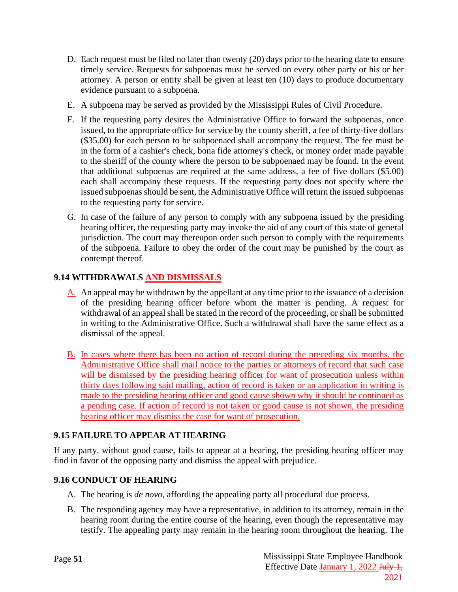- D. Each request must be filed no later than twenty (20) days prior to the hearing date to ensure timely service. Requests for subpoenas must be served on every other party or his or her attorney. A person or entity shall be given at least ten (10) days to produce documentary evidence pursuant to a subpoena.
- E. A subpoena may be served as provided by the Mississippi Rules of Civil Procedure.
- F. If the requesting party desires the Administrative Office to forward the subpoenas, once issued, to the appropriate office for service by the county sheriff, a fee of thirty-five dollars (\$35.00) for each person to be subpoenaed shall accompany the request. The fee must be in the form of a cashier's check, bona fide attorney's check, or money order made payable to the sheriff of the county where the person to be subpoenaed may be found. In the event that additional subpoenas are required at the same address, a fee of five dollars (\$5.00) each shall accompany these requests. If the requesting party does not specify where the issued subpoenas should be sent, the Administrative Office will return the issued subpoenas to the requesting party for service.
- G. In case of the failure of any person to comply with any subpoena issued by the presiding hearing officer, the requesting party may invoke the aid of any court of this state of general jurisdiction. The court may thereupon order such person to comply with the requirements of the subpoena. Failure to obey the order of the court may be punished by the court as contempt thereof.

# <span id="page-54-0"></span>**9.14 WITHDRAWALS AND DISMISSALS**

- A. An appeal may be withdrawn by the appellant at any time prior to the issuance of a decision of the presiding hearing officer before whom the matter is pending. A request for withdrawal of an appeal shall be stated in the record of the proceeding, or shall be submitted in writing to the Administrative Office. Such a withdrawal shall have the same effect as a dismissal of the appeal.
- B. In cases where there has been no action of record during the preceding six months, the Administrative Office shall mail notice to the parties or attorneys of record that such case will be dismissed by the presiding hearing officer for want of prosecution unless within thirty days following said mailing, action of record is taken or an application in writing is made to the presiding hearing officer and good cause shown why it should be continued as a pending case. If action of record is not taken or good cause is not shown, the presiding hearing officer may dismiss the case for want of prosecution.

# <span id="page-54-1"></span>**9.15 FAILURE TO APPEAR AT HEARING**

If any party, without good cause, fails to appear at a hearing, the presiding hearing officer may find in favor of the opposing party and dismiss the appeal with prejudice.

### <span id="page-54-2"></span>**9.16 CONDUCT OF HEARING**

- A. The hearing is *de novo*, affording the appealing party all procedural due process.
- B. The responding agency may have a representative, in addition to its attorney, remain in the hearing room during the entire course of the hearing, even though the representative may testify. The appealing party may remain in the hearing room throughout the hearing. The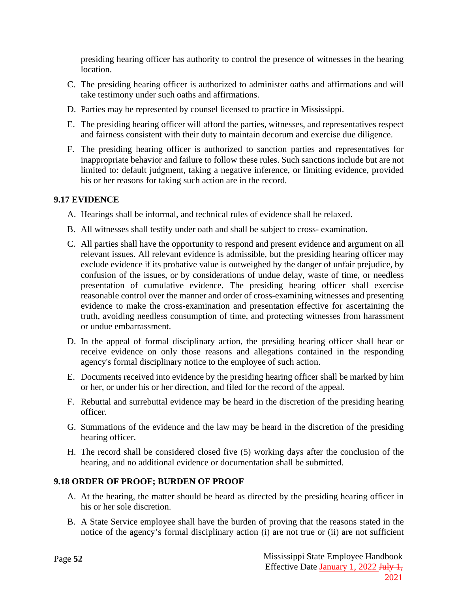presiding hearing officer has authority to control the presence of witnesses in the hearing location.

- C. The presiding hearing officer is authorized to administer oaths and affirmations and will take testimony under such oaths and affirmations.
- D. Parties may be represented by counsel licensed to practice in Mississippi.
- E. The presiding hearing officer will afford the parties, witnesses, and representatives respect and fairness consistent with their duty to maintain decorum and exercise due diligence.
- F. The presiding hearing officer is authorized to sanction parties and representatives for inappropriate behavior and failure to follow these rules. Such sanctions include but are not limited to: default judgment, taking a negative inference, or limiting evidence, provided his or her reasons for taking such action are in the record.

### <span id="page-55-0"></span>**9.17 EVIDENCE**

- A. Hearings shall be informal, and technical rules of evidence shall be relaxed.
- B. All witnesses shall testify under oath and shall be subject to cross- examination.
- C. All parties shall have the opportunity to respond and present evidence and argument on all relevant issues. All relevant evidence is admissible, but the presiding hearing officer may exclude evidence if its probative value is outweighed by the danger of unfair prejudice, by confusion of the issues, or by considerations of undue delay, waste of time, or needless presentation of cumulative evidence. The presiding hearing officer shall exercise reasonable control over the manner and order of cross-examining witnesses and presenting evidence to make the cross-examination and presentation effective for ascertaining the truth, avoiding needless consumption of time, and protecting witnesses from harassment or undue embarrassment.
- D. In the appeal of formal disciplinary action, the presiding hearing officer shall hear or receive evidence on only those reasons and allegations contained in the responding agency's formal disciplinary notice to the employee of such action.
- E. Documents received into evidence by the presiding hearing officer shall be marked by him or her, or under his or her direction, and filed for the record of the appeal.
- F. Rebuttal and surrebuttal evidence may be heard in the discretion of the presiding hearing officer.
- G. Summations of the evidence and the law may be heard in the discretion of the presiding hearing officer.
- H. The record shall be considered closed five (5) working days after the conclusion of the hearing, and no additional evidence or documentation shall be submitted.

### <span id="page-55-1"></span>**9.18 ORDER OF PROOF; BURDEN OF PROOF**

- A. At the hearing, the matter should be heard as directed by the presiding hearing officer in his or her sole discretion.
- B. A State Service employee shall have the burden of proving that the reasons stated in the notice of the agency's formal disciplinary action (i) are not true or (ii) are not sufficient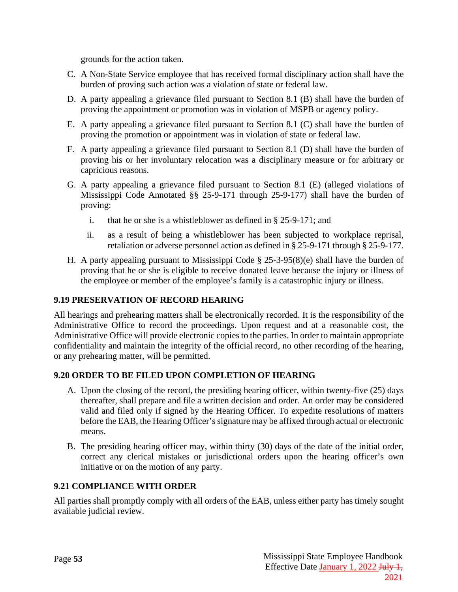grounds for the action taken.

- C. A Non-State Service employee that has received formal disciplinary action shall have the burden of proving such action was a violation of state or federal law.
- D. A party appealing a grievance filed pursuant to Section 8.1 (B) shall have the burden of proving the appointment or promotion was in violation of MSPB or agency policy.
- E. A party appealing a grievance filed pursuant to Section 8.1 (C) shall have the burden of proving the promotion or appointment was in violation of state or federal law.
- F. A party appealing a grievance filed pursuant to Section 8.1 (D) shall have the burden of proving his or her involuntary relocation was a disciplinary measure or for arbitrary or capricious reasons.
- G. A party appealing a grievance filed pursuant to Section 8.1 (E) (alleged violations of Mississippi Code Annotated §§ 25-9-171 through 25-9-177) shall have the burden of proving:
	- i. that he or she is a whistleblower as defined in § 25-9-171; and
	- ii. as a result of being a whistleblower has been subjected to workplace reprisal, retaliation or adverse personnel action as defined in § 25-9-171 through § 25-9-177.
- H. A party appealing pursuant to Mississippi Code § 25-3-95(8)(e) shall have the burden of proving that he or she is eligible to receive donated leave because the injury or illness of the employee or member of the employee's family is a catastrophic injury or illness.

#### <span id="page-56-0"></span>**9.19 PRESERVATION OF RECORD HEARING**

All hearings and prehearing matters shall be electronically recorded. It is the responsibility of the Administrative Office to record the proceedings. Upon request and at a reasonable cost, the Administrative Office will provide electronic copies to the parties. In order to maintain appropriate confidentiality and maintain the integrity of the official record, no other recording of the hearing, or any prehearing matter, will be permitted.

#### <span id="page-56-1"></span>**9.20 ORDER TO BE FILED UPON COMPLETION OF HEARING**

- A. Upon the closing of the record, the presiding hearing officer, within twenty-five (25) days thereafter, shall prepare and file a written decision and order. An order may be considered valid and filed only if signed by the Hearing Officer. To expedite resolutions of matters before the EAB, the Hearing Officer's signature may be affixed through actual or electronic means.
- B. The presiding hearing officer may, within thirty (30) days of the date of the initial order, correct any clerical mistakes or jurisdictional orders upon the hearing officer's own initiative or on the motion of any party.

#### <span id="page-56-2"></span>**9.21 COMPLIANCE WITH ORDER**

All parties shall promptly comply with all orders of the EAB, unless either party has timely sought available judicial review.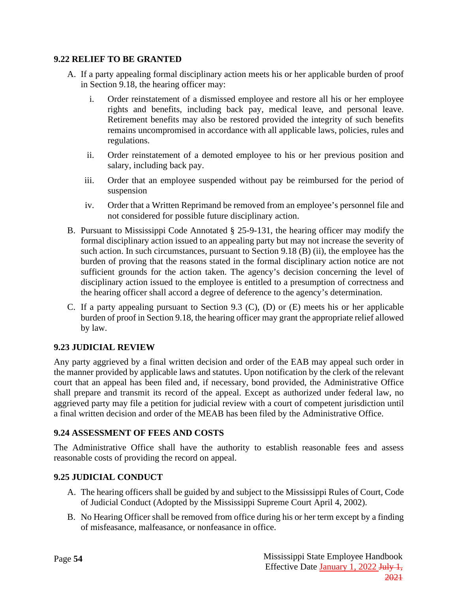#### <span id="page-57-0"></span>**9.22 RELIEF TO BE GRANTED**

- A. If a party appealing formal disciplinary action meets his or her applicable burden of proof in Section 9.18, the hearing officer may:
	- i. Order reinstatement of a dismissed employee and restore all his or her employee rights and benefits, including back pay, medical leave, and personal leave. Retirement benefits may also be restored provided the integrity of such benefits remains uncompromised in accordance with all applicable laws, policies, rules and regulations.
	- ii. Order reinstatement of a demoted employee to his or her previous position and salary, including back pay.
	- iii. Order that an employee suspended without pay be reimbursed for the period of suspension
	- iv. Order that a Written Reprimand be removed from an employee's personnel file and not considered for possible future disciplinary action.
- B. Pursuant to Mississippi Code Annotated § 25-9-131, the hearing officer may modify the formal disciplinary action issued to an appealing party but may not increase the severity of such action. In such circumstances, pursuant to Section 9.18 (B) (ii), the employee has the burden of proving that the reasons stated in the formal disciplinary action notice are not sufficient grounds for the action taken. The agency's decision concerning the level of disciplinary action issued to the employee is entitled to a presumption of correctness and the hearing officer shall accord a degree of deference to the agency's determination.
- C. If a party appealing pursuant to Section 9.3 (C), (D) or (E) meets his or her applicable burden of proof in Section 9.18, the hearing officer may grant the appropriate relief allowed by law.

#### <span id="page-57-1"></span>**9.23 JUDICIAL REVIEW**

Any party aggrieved by a final written decision and order of the EAB may appeal such order in the manner provided by applicable laws and statutes. Upon notification by the clerk of the relevant court that an appeal has been filed and, if necessary, bond provided, the Administrative Office shall prepare and transmit its record of the appeal. Except as authorized under federal law, no aggrieved party may file a petition for judicial review with a court of competent jurisdiction until a final written decision and order of the MEAB has been filed by the Administrative Office.

#### <span id="page-57-2"></span>**9.24 ASSESSMENT OF FEES AND COSTS**

The Administrative Office shall have the authority to establish reasonable fees and assess reasonable costs of providing the record on appeal.

#### <span id="page-57-3"></span>**9.25 JUDICIAL CONDUCT**

- A. The hearing officers shall be guided by and subject to the Mississippi Rules of Court, Code of Judicial Conduct (Adopted by the Mississippi Supreme Court April 4, 2002).
- B. No Hearing Officer shall be removed from office during his or her term except by a finding of misfeasance, malfeasance, or nonfeasance in office.